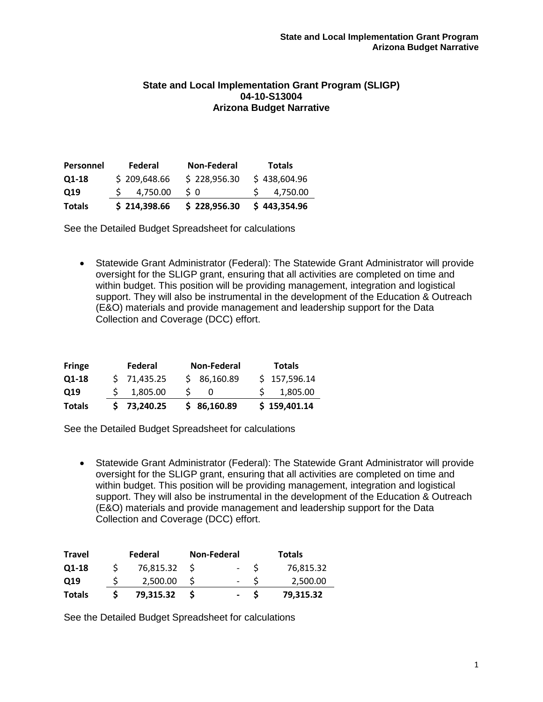### **State and Local Implementation Grant Program (SLIGP) 04-10-S13004 Arizona Budget Narrative**

| <b>Personnel</b> | Federal      | <b>Non-Federal</b> | <b>Totals</b> |
|------------------|--------------|--------------------|---------------|
| Q1-18            | \$209,648.66 | \$228,956.30       | \$438,604.96  |
| Q19              | 4.750.00     | S 0                | 4,750.00      |
| <b>Totals</b>    | \$214,398.66 | \$228,956.30       | \$443,354.96  |

See the Detailed Budget Spreadsheet for calculations

• Statewide Grant Administrator (Federal): The Statewide Grant Administrator will provide oversight for the SLIGP grant, ensuring that all activities are completed on time and within budget. This position will be providing management, integration and logistical support. They will also be instrumental in the development of the Education & Outreach (E&O) materials and provide management and leadership support for the Data Collection and Coverage (DCC) effort.

| <b>Fringe</b> | Federal     | Non-Federal | <b>Totals</b> |
|---------------|-------------|-------------|---------------|
| Q1-18         | \$71,435.25 | \$86,160.89 | \$157,596.14  |
| Q19           | \$1,805.00  |             | 1,805.00      |
| <b>Totals</b> | \$73,240.25 | \$86,160.89 | \$159,401.14  |

See the Detailed Budget Spreadsheet for calculations

• Statewide Grant Administrator (Federal): The Statewide Grant Administrator will provide oversight for the SLIGP grant, ensuring that all activities are completed on time and within budget. This position will be providing management, integration and logistical support. They will also be instrumental in the development of the Education & Outreach (E&O) materials and provide management and leadership support for the Data Collection and Coverage (DCC) effort.

| <b>Travel</b> | Federal   | <b>Non-Federal</b>       | Totals    |
|---------------|-----------|--------------------------|-----------|
| Q1-18         | 76,815.32 | $\overline{\phantom{a}}$ | 76,815.32 |
| Q19           | 2.500.00  | $\overline{\phantom{0}}$ | 2,500.00  |
| <b>Totals</b> | 79.315.32 | $\overline{\phantom{0}}$ | 79,315.32 |

See the Detailed Budget Spreadsheet for calculations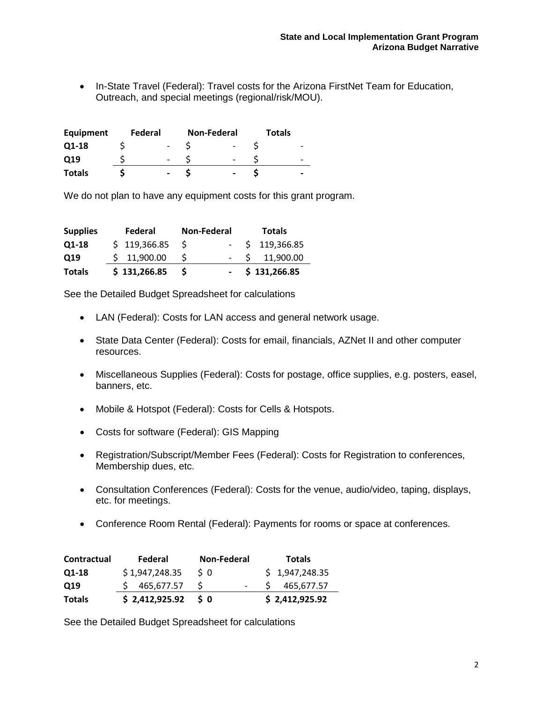• In-State Travel (Federal): Travel costs for the Arizona FirstNet Team for Education, Outreach, and special meetings (regional/risk/MOU).

| Equipment     | Federal |  | <b>Non-Federal</b> | <b>Totals</b> |  |
|---------------|---------|--|--------------------|---------------|--|
| Q1-18         |         |  |                    |               |  |
| Q19           |         |  |                    |               |  |
| <b>Totals</b> |         |  |                    |               |  |

We do not plan to have any equipment costs for this grant program.

| <b>Supplies</b> | Federal          | <b>Non-Federal</b> | <b>Totals</b>     |
|-----------------|------------------|--------------------|-------------------|
| Q1-18           | $$119,366.85$ \$ |                    | $-$ \$ 119,366.85 |
| Q19             | \$11,900.00      | -S                 | $-$ \$ 11,900.00  |
| <b>Totals</b>   | \$131,266.85     | <b>S</b>           | $-$ \$ 131,266.85 |

See the Detailed Budget Spreadsheet for calculations

- LAN (Federal): Costs for LAN access and general network usage.
- State Data Center (Federal): Costs for email, financials, AZNet II and other computer resources.
- Miscellaneous Supplies (Federal): Costs for postage, office supplies, e.g. posters, easel, banners, etc.
- Mobile & Hotspot (Federal): Costs for Cells & Hotspots.
- Costs for software (Federal): GIS Mapping
- Registration/Subscript/Member Fees (Federal): Costs for Registration to conferences, Membership dues, etc.
- Consultation Conferences (Federal): Costs for the venue, audio/video, taping, displays, etc. for meetings.
- Conference Room Rental (Federal): Payments for rooms or space at conferences.

| <b>Contractual</b> | Federal        | Non-Federal | <b>Totals</b>  |
|--------------------|----------------|-------------|----------------|
| Q1-18              | \$1,947,248.35 | S 0         | \$1,947,248.35 |
| Q19                | \$465,677.57   | -S          | 465.677.57     |
| <b>Totals</b>      | \$2,412,925.92 | 50          | \$2,412,925.92 |

See the Detailed Budget Spreadsheet for calculations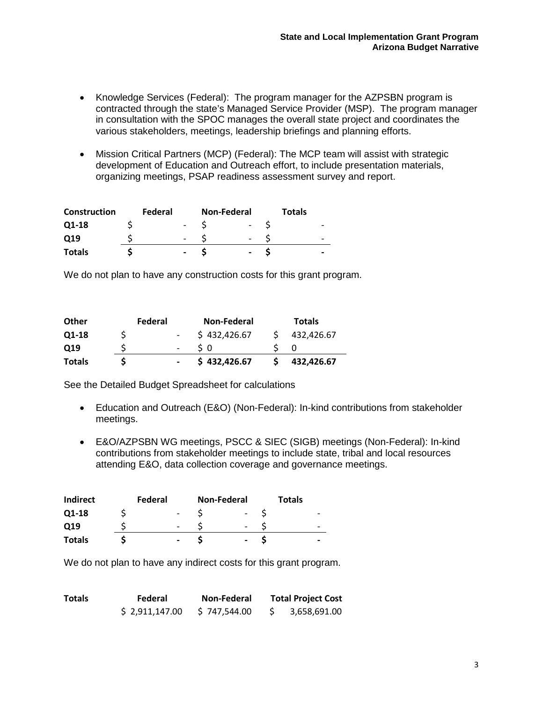- Knowledge Services (Federal): The program manager for the AZPSBN program is contracted through the state's Managed Service Provider (MSP). The program manager in consultation with the SPOC manages the overall state project and coordinates the various stakeholders, meetings, leadership briefings and planning efforts.
- Mission Critical Partners (MCP) (Federal): The MCP team will assist with strategic development of Education and Outreach effort, to include presentation materials, organizing meetings, PSAP readiness assessment survey and report.

| <b>Construction</b> | Federal |                          | <b>Non-Federal</b> | <b>Totals</b> |                          |
|---------------------|---------|--------------------------|--------------------|---------------|--------------------------|
| Q1-18               |         |                          |                    |               | $\overline{\phantom{0}}$ |
| Q19                 |         |                          |                    |               | $\overline{\phantom{0}}$ |
| <b>Totals</b>       |         | $\overline{\phantom{0}}$ | -                  |               | -                        |

We do not plan to have any construction costs for this grant program.

| <b>Totals</b>   |         | \$432,426.67       | 432,426.67    |  |
|-----------------|---------|--------------------|---------------|--|
| O <sub>19</sub> |         | s o                |               |  |
| Q1-18           |         | \$432,426.67       | 432,426.67    |  |
| <b>Other</b>    | Federal | <b>Non-Federal</b> | <b>Totals</b> |  |

See the Detailed Budget Spreadsheet for calculations

- Education and Outreach (E&O) (Non-Federal): In-kind contributions from stakeholder meetings.
- E&O/AZPSBN WG meetings, PSCC & SIEC (SIGB) meetings (Non-Federal): In-kind contributions from stakeholder meetings to include state, tribal and local resources attending E&O, data collection coverage and governance meetings.

| <b>Indirect</b> | Federal                  | <b>Non-Federal</b> | <b>Totals</b> |                          |
|-----------------|--------------------------|--------------------|---------------|--------------------------|
| Q1-18           | $\overline{\phantom{0}}$ |                    |               |                          |
| Q19             |                          | -                  |               |                          |
| <b>Totals</b>   | $\overline{\phantom{0}}$ | $\qquad \qquad$    |               | $\overline{\phantom{0}}$ |

We do not plan to have any indirect costs for this grant program.

| <b>Totals</b> | Federal        | <b>Non-Federal</b> | <b>Total Project Cost</b> |
|---------------|----------------|--------------------|---------------------------|
|               | \$2,911,147.00 | \$747.544.00       | 3,658,691.00              |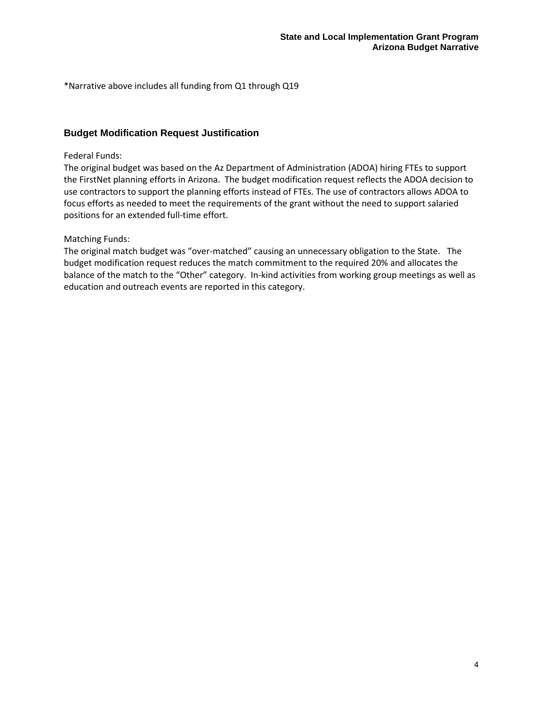\*Narrative above includes all funding from Q1 through Q19

## **Budget Modification Request Justification**

### Federal Funds:

The original budget was based on the Az Department of Administration (ADOA) hiring FTEs to support the FirstNet planning efforts in Arizona. The budget modification request reflects the ADOA decision to use contractors to support the planning efforts instead of FTEs. The use of contractors allows ADOA to focus efforts as needed to meet the requirements of the grant without the need to support salaried positions for an extended full-time effort.

### Matching Funds:

The original match budget was "over-matched" causing an unnecessary obligation to the State. The budget modification request reduces the match commitment to the required 20% and allocates the balance of the match to the "Other" category. In-kind activities from working group meetings as well as education and outreach events are reported in this category.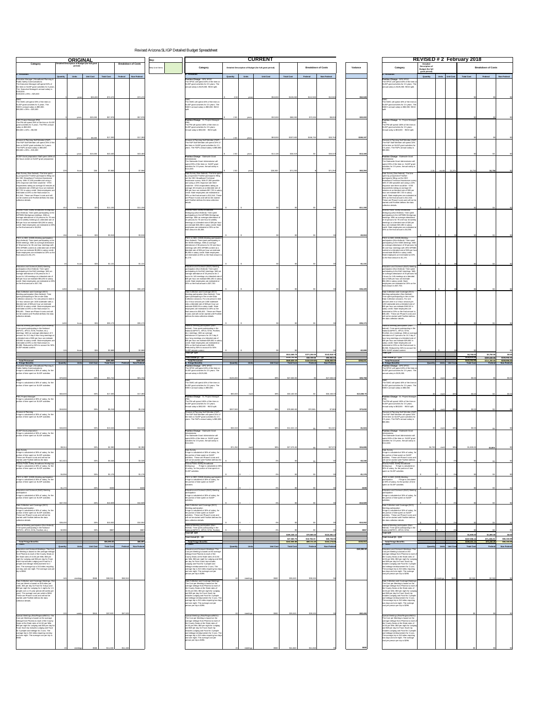| <b>Category</b>                                                                                                                                                                                                                                                                                                                                                                                                                                                                                                                                         | <b>ORIGINAL</b><br>Detailed Description of Budget (for full grant | <b>Breakdown of Costs</b>                                             | $ $ Key:                                                                                                                                                                                                                                                                                                                                                                                                                                                                                                                                 |                                                        | <b>CURRENT</b>                        |                                                                                                                                                                                        |                              |                                                                                                                                                                                                                                                                                                                                                                                                                                                                                                                                                         | <b>Detailed</b>                                                  | <b>REVISED # 2 February 2018</b>                                                   |                                                                                                               |
|---------------------------------------------------------------------------------------------------------------------------------------------------------------------------------------------------------------------------------------------------------------------------------------------------------------------------------------------------------------------------------------------------------------------------------------------------------------------------------------------------------------------------------------------------------|-------------------------------------------------------------------|-----------------------------------------------------------------------|------------------------------------------------------------------------------------------------------------------------------------------------------------------------------------------------------------------------------------------------------------------------------------------------------------------------------------------------------------------------------------------------------------------------------------------------------------------------------------------------------------------------------------------|--------------------------------------------------------|---------------------------------------|----------------------------------------------------------------------------------------------------------------------------------------------------------------------------------------|------------------------------|---------------------------------------------------------------------------------------------------------------------------------------------------------------------------------------------------------------------------------------------------------------------------------------------------------------------------------------------------------------------------------------------------------------------------------------------------------------------------------------------------------------------------------------------------------|------------------------------------------------------------------|------------------------------------------------------------------------------------|---------------------------------------------------------------------------------------------------------------|
|                                                                                                                                                                                                                                                                                                                                                                                                                                                                                                                                                         | period)                                                           |                                                                       | Category<br>New Line Items                                                                                                                                                                                                                                                                                                                                                                                                                                                                                                               | Detailed Description of Budget (for full grant period) |                                       | <b>Breakdown of Costs</b>                                                                                                                                                              | Variance                     | Category                                                                                                                                                                                                                                                                                                                                                                                                                                                                                                                                                | <b>Description o</b><br><b>Budget (for full</b><br>grant period) |                                                                                    | <b>Breakdown of Costs</b>                                                                                     |
| a. Personnel<br>Executive Manager   Broadband Planning &<br>Public Safety Communications<br>The Executive Manager will spend 50% of<br>the time on SLIGP grant activities for 3 years<br>The Executive Manager's annual salary is<br>\$100,000.<br>$$100,000 \times 25\% = $25,000$                                                                                                                                                                                                                                                                     | Quantity<br><b>Units</b><br><b>Unit Cost</b>                      | Federal<br><b>Non-Federal</b><br><b>Total Cost</b>                    | a. Personnel<br>Position Change - DPS SPOC<br>The SPOC will spend 40% of the time on<br>SLIGP grant activities for 2.5 years. The<br>annual salary is \$125,000. 90/10 split.                                                                                                                                                                                                                                                                                                                                                            | Quantity<br><b>Units</b>                               | <b>Unit Cost</b><br><b>Total Cost</b> | <b>Non-Federal</b><br>Federal                                                                                                                                                          |                              | a. Personnel<br><b>Position Change - DPS SPOC</b><br>The SPOC will spend 40% of the time on<br>SLIGP grant activities for 2.5 years. The<br>annual salary is \$125,000. 90/10 split.                                                                                                                                                                                                                                                                                                                                                                    | <b>Units</b><br>Quantity                                         | <b>Total Cost</b><br><b>Unit Cost</b>                                              | <b>Non-Federal</b><br>Federal                                                                                 |
| The SWIC will spend 33% of the time on<br>SLIGP grant activities for 3 years. The<br>SWIC's annual salary is \$80,000<br>$$80,000 \times 25\% = $20,000$                                                                                                                                                                                                                                                                                                                                                                                                | \$25,000<br>vearsl                                                | \$72,472<br>\$72,472                                                  | The SWIC will spend 40% of the time on<br>SLIGP grant activities for 2.5 years. The<br>SWIC's annual salary is \$80,000. 90/10                                                                                                                                                                                                                                                                                                                                                                                                           | 2.50<br>vears                                          | \$50,000                              | \$125,000<br>\$112,500<br>\$12,500                                                                                                                                                     | \$52,528                     | The SWIC will spend 40% of the time o<br>SLIGP grant activities for 2.5 years. The<br>SWIC's annual salary is \$80,000. 90/10                                                                                                                                                                                                                                                                                                                                                                                                                           |                                                                  |                                                                                    |                                                                                                               |
| <b>PSIC Project Manager (PM)</b><br>The PM will spend 25% of the time on SLIGF<br>grant activities for 3 years. The PM's annual<br>salary is \$60,000.<br>$$60,000 \times 10\% = $6,000$                                                                                                                                                                                                                                                                                                                                                                | \$20,000<br>vears                                                 | \$57.978<br>\$57,978                                                  | Position Change - Sr. Project Manager<br>The PM will spend 100% of the time on<br>SLIGP grant activities for 2.5 years.<br>Annual salay is \$83,000 - 90/10 split.                                                                                                                                                                                                                                                                                                                                                                       | 2.50<br>vears                                          | \$32,000                              | \$80,000<br>\$72,000<br>\$8,000                                                                                                                                                        | \$22,022                     | Position Change - Sr. Project Manager<br>The PM will spend 100% of the time on<br>SLIGP grant activities for 2.5 years.<br>Annual salay is \$83,000 - 90/10 split.                                                                                                                                                                                                                                                                                                                                                                                      |                                                                  |                                                                                    |                                                                                                               |
| Finance & Planning Staff Member (F&P)<br>The F&P Staff Member will spend 25% of the<br>time on SLIGP grant activities for 3 years.<br>The F&P's annual salary is \$60,000.<br>$$60,000 \times 25\% = $15,000$                                                                                                                                                                                                                                                                                                                                           | \$6,000<br>years                                                  | \$17.393<br>\$17,393                                                  | Finance & Planning Staff Member (F&P)<br>The F&P Staff Member will spend 15% of<br>the time on SLIGP grant activities for 2.5<br>years. The F&P's annual salary is \$80,850                                                                                                                                                                                                                                                                                                                                                              | 2.50<br>vears                                          | \$83,000                              | \$207,500<br>\$186,750<br>\$20,750                                                                                                                                                     | \$190,107                    | Finance & Planning Staff Member (F&P)<br>The F&P Staff Member will spend 15%<br>of the time on SLIGP grant activities for<br>2.5 years. The F&P's annual salary is<br>\$80.850                                                                                                                                                                                                                                                                                                                                                                          |                                                                  |                                                                                    |                                                                                                               |
| SLIGP Grant preparation Staff spent 100% of<br>the hours noted on SLIGP grant preparation                                                                                                                                                                                                                                                                                                                                                                                                                                                               | \$15,000<br>vears<br>\$36<br>229<br>hours                         | \$43,483<br>\$43,483<br>\$7,966<br>\$7,966                            | <b>Position Change - Statewide Grant</b><br>The Statewide Grant Administrator will<br>spend 25% of the time on SLIGP grant<br>activities for 2.5 years. Annual salary is<br>\$114,000.                                                                                                                                                                                                                                                                                                                                                   | 2.50<br>years<br>2.50                                  | \$12,128<br>\$28,500<br>vears         | \$30,319<br>\$30,319<br>\$71,250<br>\$71,250                                                                                                                                           | $-$13,165$<br>\$63,284       | Position Change - Statewide Grant<br>The Statewide Grant Administrator will<br>spend 25% of the time on SLIGP grant<br>activities for 2.5 years. Annual salary is<br>\$114,000.                                                                                                                                                                                                                                                                                                                                                                         | 2.00<br>month                                                    | \$4,750<br>\$2,375                                                                 | \$4,750                                                                                                       |
| Data Survey (Non-federal): The time spent<br>by prospective FirstNet participants filling out<br>the OEC Broadband Technical Assistance<br>survey. With 37,000 possible and using a<br>10% response rate there would be $\sim$ 3700<br>respondents taking an average 40 minutes at<br>an blended rate of \$26 per hour we estimate<br>\$57,720 in salary credit. State employees are<br>estimated at 20% so the final amount is<br>\$11,544. These are Phase II costs and will<br>not be started until FirstNet defines the data<br>collection details. | \$26                                                              | \$11,155<br>\$11.155                                                  | Data Survey (Non-federal): The time spent<br>by prospective FirstNet participants filling<br>out the OEC Broadband Technical<br>Assistance survey. With 37,000 possible<br>and using a 10% response rate there<br>would be ~3700 respondents taking an<br>average 40 minutes at an blended rate of<br>\$26 per hour we estimate \$57,720 in salary<br>credit. State employees are estimated at<br>20% so the final amount is \$11,544. These<br>are Phase II costs and will not be started<br>until FirstNet defines the data collection |                                                        |                                       |                                                                                                                                                                                        | $-$11,155$                   | Data Survey (Non-federal): The time<br>spent by prospective FirstNet<br>participants filling out the OEC<br>Broadband Technical Assistance survey.<br>With 37,000 possible and using a 10%<br>response rate there would be ~3700<br>respondents taking an average 40<br>minutes at an blended rate of \$26 per<br>hour we estimate \$57,720 in salary<br>credit. State employees are estimated at<br>20% so the final amount is \$11,544.<br>These are Phase II costs and will not be<br>started until FirstNet defines the data<br>collection details. |                                                                  |                                                                                    |                                                                                                               |
| Arizona Public Safety Broadband Workgroup<br>(Non-federal): Time spent participating in the<br>AZPSBN Workgroup meetings. With an<br>average attendance of 10 persons for 78 one-<br>hour bi-weekly meetings at a blended rate of<br>\$26 per hour we estimate \$20,280 in salary<br>credit. State employees are estimated at 20%<br>so the final amount is \$4,056.                                                                                                                                                                                    | hours                                                             |                                                                       | Arizona Public Safety Broadband<br>Workgroup (Non-federal): Time spent<br>participating in the AZPSBN Workgroup<br>meetings. With an average attendance of<br>10 persons for 78 one-hour bi-weekly<br>meetings at a blended rate of \$26 per hour<br>we estimate \$20,280 in salary credit. State<br>employees are estimated at 20% so the<br>final amount is \$4,056.                                                                                                                                                                   |                                                        |                                       |                                                                                                                                                                                        |                              | Arizona Public Safety Broadband<br>Workgroup (Non-federal): Time spent<br>participating in the AZPSBN Workgroup<br>meetings. With an average attendance<br>of 10 persons for 78 one-hour bi-weekly<br>meetings at a blended rate of \$26 per<br>hour we estimate \$20,280 in salary<br>credit. State employees are estimated at<br>20% so the final amount is \$4,056.                                                                                                                                                                                  |                                                                  |                                                                                    |                                                                                                               |
| <b>PSCC &amp; SIEC (SIGB) Meeting participation</b><br>(Non-federal): Time spent participating in the<br>SIGB meetings. With an average attendance<br>of 30 persons for 30 one-hour meetings with<br>25% NPSBN content at a blended rate of \$26<br>per hour we estimate \$5,850 in salary credit.<br>State employees are estimated at 20% so the<br>final amount is \$1,170.                                                                                                                                                                           | \$261<br>hours<br>hours                                           | \$3,919<br>\$3.919<br>\$1.13                                          | <b>PSCC &amp; SIEC (SIGB)</b> Meeting participation<br>(Non-federal): Time spent participating in<br>the SIGB meetings. With an average<br>attendance of 30 persons for 30 one-hour<br>meetings with 25% NPSBN content at a<br>blended rate of \$26 per hour we estimate<br>\$5,850 in salary credit. State employees<br>are estimated at 20% so the final amount is<br>\$1,170.                                                                                                                                                         |                                                        |                                       |                                                                                                                                                                                        | $-$ \$3,919<br>$-$1,131$     | PSCC & SIEC (SIGB) Meeting<br>participation (Non-federal): Time spent<br>participating in the SIGB meetings. With<br>an average attendance of 30 persons fo<br>30 one-hour meetings with 25% NPSBN<br>content at a blended rate of \$26 per hour<br>we estimate \$5,850 in salary credit.<br>State employees are estimated at 20%<br>so the final amount is \$1,170.                                                                                                                                                                                    |                                                                  |                                                                                    |                                                                                                               |
| Education and Outreach (E&O) Meeting<br>participation (Non-federal): Time spent<br>participating in the E&O meetings. With an<br>average attendance of 25 persons for 2<br>hours for 145 meetings at a blended rate of<br>\$26 per hour we estimate \$94,250 in salary<br>credit. State employees are estimated at 20%<br>so the final amount is \$37,700.                                                                                                                                                                                              |                                                                   |                                                                       | Education and Outreach (E&O) Meeting<br>participation (Non-federal): Time spent<br>participating in the E&O meetings. With are<br>average attendance of 25 persons for 2<br>hours for 145 meetings at a blended rate of<br>\$26 per hour we estimate \$94,250 in salary<br>credit. State employees are estimated at<br>20% so the final amount is \$37,700.                                                                                                                                                                              |                                                        |                                       |                                                                                                                                                                                        |                              | Education and Outreach (E&O) Meeting<br>participation (Non-federal): Time spent<br>participating in the E&O meetings. With<br>an average attendance of 25 persons fo<br>2 hours for 145 meetings at a blended<br>rate of \$26 per hour we estimate<br>\$94,250 in salary credit. State<br>employees are estimated at 20% so the<br>final amount is \$37,700.                                                                                                                                                                                            |                                                                  |                                                                                    |                                                                                                               |
| Data Collection and Coverage (DCC)<br>Meeting participation (Non-federal): Time<br>spent participating in the on-site Data<br>Collection sessions. For one person's time in<br>a 5 hour session per 1400 statewide sites a<br>blended rate of \$26 per hour we estimate<br>\$182,00 in salary credit. State employees are<br>estimated at 20% so the final amount is<br>\$36,400. These are Phase II costs and will<br>not be started until FirstNet defines the data<br>collection details.                                                            | 1450<br>\$26<br>hours<br>1400<br>hours                            | \$36,429<br>\$36.429<br>\$35,1<br>\$35,17                             | Data Collection and Coverage (DCC)<br>Meeting participation (Non-federal): Time<br>spent participating in the on-site Data<br>Collection sessions. For one person's time<br>in a 5 hour session per 1400 statewide<br>sites a blended rate of \$26 per hour we<br>estimate \$182,00 in salary credit. State<br>employees are estimated at 20% so the<br>final amount is \$36,400. These are Phase<br>Il costs and will not be started until FirstNet<br>defines the data collection details.                                             |                                                        |                                       |                                                                                                                                                                                        | $-$ \$36,429<br>$-$ \$35,173 | Data Collection and Coverage (DCC)<br>Meeting participation (Non-federal):<br>Time spent participating in the on-site<br>Data Collection sessions. For one<br>person's time in a 5 hour session per<br>1400 statewide sites a blended rate of<br>\$26 per hour we estimate \$182,00 in<br>salary credit. State employees are<br>estimated at 20% so the final amount is<br>\$36,400. These are Phase II costs and<br>will not be started until FirstNet defines<br>the data collection details.                                                         |                                                                  |                                                                                    |                                                                                                               |
| National Meeting participation (Non-federal):<br>Time spent participating in the National<br>(NPSTC, APCO, NTIA, FirstNet, etc.)<br>meetings. With an average attendance of 3<br>persons for 24 2 day 8 hour long meetings at<br>a blended rate of \$26 per hour we estimate<br>\$29,952 in salary credit. State employees are<br>estimated at 20% so the final amount is<br>\$5,980. Reduced by 50% to account for 50%<br>SLIGP related content.                                                                                                       | hours                                                             | \$2889<br>42 RRQ                                                      | National Meeting participation (Non-<br>federal): Time spent participating in the<br>National (NPSTC, APCO, NTIA, FirstNet,<br>etc.) meetings. With an average<br>attendance of 3 persons for 24 2 day 8<br>hour long meetings at a blended rate of<br>\$26 per hour we estimate \$29,952 in salary<br>credit. State employees are estimated at<br>20% so the final amount is \$5,980.<br>Reduced by 50% to account for 50%<br>SLIGP related content.<br>Total Q9 -Q19                                                                   |                                                        |                                       |                                                                                                                                                                                        | $-$ \$2,889                  | National Meeting participation (Non-<br>federal): Time spent participating in the<br>National (NPSTC, APCO, NTIA,<br>FirstNet, etc.) meetings. With an average<br>attendance of 3 persons for 24 2 day 8<br>hour long meetings at a blended rate of<br>\$26 per hour we estimate \$29,952 in<br>salary credit. State employees are<br>estimated at 20% so the final amount is<br>\$5,980. Reduced by 50% to account for<br>50% SLIGP related content.<br>Total Q19                                                                                      |                                                                  |                                                                                    |                                                                                                               |
| <b>Total Personnel</b><br>b. Fringe Benefits<br>Executive Manager   Broadband Planning &<br>Public Safety Communications<br>Fringe is calculated at 30% of salary, for the<br>portion of time spent on SLIGP activities                                                                                                                                                                                                                                                                                                                                 | <b>Unit Cost</b><br>Quantity<br><b>Units</b>                      | \$289,989<br>\$289,989<br><b>Total Cost</b><br>Non-Federal<br>Federal | <b>Total Actual Q1 - Q8</b><br><b>Total Personnel</b><br>b. Fringe Benefits<br><b>Position Change - DPS SPOC</b><br>The SPOC will spend 40% of the time on<br>SLIGP grant activities for 2.5 years. The<br>annual salary is \$125,000.                                                                                                                                                                                                                                                                                                   | Quantity                                               | Unit Cost<br>Units                    | \$514,068.7<br>\$371,250.00<br>\$142,818.7<br>\$134,751.44<br>\$38,769.60<br>\$95.981.84<br>\$410,019.60<br>\$238,800.5<br>\$648,820.19<br><b>Total Cost</b><br>Federal<br>Non-Federal | \$358,831                    | Total Actual Q1 - Q18<br><b>Total Personnel</b><br>b. Fringe Benefits<br><b>Position Change - DPS SPOC</b><br>The SPOC will spend 40% of the time on<br>SLIGP grant activities for 2.5 years. The<br>annual salary is \$125,000.                                                                                                                                                                                                                                                                                                                        | Quantity                                                         | \$4,750.00<br>\$438,604.96<br>\$443,354.96<br>Units Unit Cost<br><b>Total Cost</b> | \$4,750.00<br>\$0.00<br>\$228,956,30<br>\$209,648.66<br>\$214,398.66<br>\$228,956.3<br>Non-Federal<br>Federal |
| Fringe is calculated at 30% of salary, for the<br>portion of time spent on SLIGP activities                                                                                                                                                                                                                                                                                                                                                                                                                                                             | \$75,000<br>%∩2                                                   | \$21.742<br>\$21.742                                                  | The SWIC will spend 40% of the time on<br>SLIGP grant activities for 2.5 years. The<br>SWIC's annual salary is \$80,000.                                                                                                                                                                                                                                                                                                                                                                                                                 | \$125,000                                              | each                                  | \$47,500.0<br>\$47,500.0                                                                                                                                                               | \$25,758                     | The SWIC will spend 40% of the time or<br>SLIGP grant activities for 2.5 years. The<br>SWIC's annual salary is \$80,000.                                                                                                                                                                                                                                                                                                                                                                                                                                | each                                                             |                                                                                    | \$0.00                                                                                                        |
| <b>PSIC Project Manager</b><br>Fringe is calculated at 30% of salary, for the<br>portion of time spent on SLIGP activities                                                                                                                                                                                                                                                                                                                                                                                                                              | \$60,000<br>30%<br>\$18,000<br>30%                                | \$17.393<br>\$17,393<br>\$5,218                                       | Position Change - Sr. Project Manager<br>The PM will spend 100% of the time on<br>SLIGP grant activities for 2.5 years.<br>Annual salay is \$83,000 - 90/10 split.                                                                                                                                                                                                                                                                                                                                                                       | \$80,000<br>\$207,500                                  | 38%<br>eachl<br>38%<br>eachl          | \$30,400.0<br>\$30,400.0<br>\$78,850.00<br>\$7,885<br>\$70,965                                                                                                                         | \$13,006.7<br>\$73,632       | Position Change - Sr. Project Manager<br>The PM will spend 100% of the time on<br>SLIGP grant activities for 2.5 years.<br>Annual salay is \$83,000 - 90/10 split.                                                                                                                                                                                                                                                                                                                                                                                      | each<br>each                                                     | \$0.00<br>\$0.00                                                                   | \$0.00                                                                                                        |
| Finance & Planning<br>Fringe is calculated at 30% of salary, for the<br>portion of time spent on SLIGP activities                                                                                                                                                                                                                                                                                                                                                                                                                                       | \$45,000                                                          | \$13,045<br>\$13,045                                                  | Finance & Planning Staff Member (F&P)<br>The F&P Staff Member will spend 15% of<br>the time on SLIGP grant activities for 2.5<br>years. The F&P's annual salary is \$80,850                                                                                                                                                                                                                                                                                                                                                              | \$30,319                                               |                                       | \$11,521.1<br>\$11,521                                                                                                                                                                 | $-$1,524$                    | Finance & Planning Staff Member (F&P)<br>The F&P Staff Member will spend 15%<br>of the time on SLIGP grant activities for<br>2.5 years. The F&P's annual salary is<br>\$80.850.                                                                                                                                                                                                                                                                                                                                                                         |                                                                  |                                                                                    |                                                                                                               |
| <b>SLIGP Grant preparation</b><br>Fringe is calculated at 30% of salary, for the<br>portion of time spent on SLIGP activities                                                                                                                                                                                                                                                                                                                                                                                                                           | \$8,244<br>30%                                                    | \$2,390<br>\$2,390                                                    | <b>Position Change - Statewide Grant</b><br>The Statewide Grant Administrator will<br>spend 50% of the time on SLIGP grant<br>activities for 2.5 years. Annual salary is<br>\$114,000.                                                                                                                                                                                                                                                                                                                                                   | \$71,250                                               | 38%<br>eachl                          | \$27,075.00<br>\$27,075                                                                                                                                                                | \$24,685                     | Position Change - Statewide Grant<br>The Statewide Grant Administrator will<br>spend 50% of the time on SLIGP grant<br>activities for 2.5 years. Annual salary is<br>\$114,000.                                                                                                                                                                                                                                                                                                                                                                         | \$4,750<br>each                                                  | \$1,805.00<br>38%                                                                  | \$1,805                                                                                                       |
| Data Survey<br>Fringe is calculated at 30% of salary, for the<br>portion of time spent on SLIGP activities.<br>These are Phase II costs and will not be<br>started until FirstNet defines the data<br>Arizona Public Safety Broadband Workgroup<br>Fringe is calculated at 30% of salary, for the<br>portion of time spent on SLIGP activities                                                                                                                                                                                                          | \$11.544<br>30%                                                   | \$3,346<br>\$3.346                                                    | Data Survey<br>Fringe is calculated at 30% of salary, for<br>the portion of time spent on SLIGP<br>activities. These are Phase II costs and<br>will not be started until FirstNet defines the<br>Arizona Public Safety Broadband<br>Workgroup Fringe is calculated at 30%<br>of salary, for the portion of time spent on                                                                                                                                                                                                                 |                                                        |                                       |                                                                                                                                                                                        | $-$ \$3,346                  | Data Survey<br>Fringe is calculated at 30% of salary, for<br>the portion of time spent on SLIGP<br>activities. These are Phase II costs and<br>will not be started until FirstNet defines<br>للمغماء ومنغممللمم مغماء وط<br>Arizona Public Safety Broadband<br>Workgroup Fringe is calculated at<br>30% of salary, for the portion of time                                                                                                                                                                                                              | <b>Contract Contract</b>                                         |                                                                                    |                                                                                                               |
| PSCC & SIEC (SIGB) Meeting participation<br>Fringe is calculated at 30% of salary, for the<br>portion of time spent on SLIGP activities                                                                                                                                                                                                                                                                                                                                                                                                                 | \$4,056<br>\$1170                                                 | <b>\$1 176</b>                                                        | <b>SLIGP</b> activities<br><b>PSCC &amp; SIEC (SIGB)</b> Meeting participation<br>Fringe is calculated at 30% of salary, for<br>the portion of time spent on SLIGP<br>activities<br>\$339                                                                                                                                                                                                                                                                                                                                                |                                                        |                                       |                                                                                                                                                                                        | -\$1,176                     | spent on SLIGP activities<br>PSCC & SIEC (SIGB) Meeting<br>Fringe is calculated<br>participation<br>at 30% of salary, for the portion of time<br>spent on SLIGP activities                                                                                                                                                                                                                                                                                                                                                                              | <b>Contract Contract</b>                                         |                                                                                    |                                                                                                               |
| Education and Outreach (E&O) Meeting<br>participation<br>Fringe is calculated at 30% of salary, for the<br>portion of time spent on SLIGP activities<br>Data Collection and Coverage (DCC)                                                                                                                                                                                                                                                                                                                                                              | 30%<br>\$37,700<br>30%                                            | \$339<br>\$10.929<br>\$10,929                                         | Education and Outreach (E&O) Meeting<br>participation<br>Fringe is calculated at 30% of salary, for<br>the portion of time spent on SLIGP<br>Data Collection and Coverage (DCC)                                                                                                                                                                                                                                                                                                                                                          | $\sim$                                                 |                                       |                                                                                                                                                                                        | -\$339<br>$-$ \$10,929       | Education and Outreach (E&O) Meeting<br>participation<br>Fringe is calculated at 30% of salary, for<br>the portion of time spent on SLIGP<br>activities<br>Data Collection and Coverage (DCC)                                                                                                                                                                                                                                                                                                                                                           | $\sim$ $-$<br>$\frac{1}{2}$ $\frac{1}{2}$                        |                                                                                    |                                                                                                               |
| Meeting participation<br>Fringe is calculated at 30% of salary, for the<br>portion of time spent on SLIGP activities.<br>These are Phase II costs and will not be<br>started until FirstNet defines the data<br>collection details.<br>National Meeting participation (Non-federal):                                                                                                                                                                                                                                                                    | \$36,400<br>30%                                                   | \$10,552<br>\$10,552                                                  | Meeting participation<br>Fringe is calculated at 30% of salary, for<br>the portion of time spent on SLIGP<br>activities. These are Phase II costs and<br>will not be started until FirstNet defines the<br>data collection details.<br>National Meeting participation (Non-                                                                                                                                                                                                                                                              |                                                        |                                       |                                                                                                                                                                                        | $-$10,552$                   | Meeting participation<br>Fringe is calculated at 30% of salary, for<br>the portion of time spent on SLIGP<br>activities. These are Phase II costs and<br>will not be started until FirstNet defines<br>the data collection details.<br>National Meeting participation (Non-                                                                                                                                                                                                                                                                             | $\sim 100$                                                       |                                                                                    |                                                                                                               |
| Time spent participating in the National<br>(NPSTC, APCO, NTIA, FirstNet, etc.)<br><b>Total Fringe Benefits</b><br>c. Travel                                                                                                                                                                                                                                                                                                                                                                                                                            | \$2,990<br>30%                                                    | \$867<br>९ ጸ<br>\$86,996.65<br>\$86.997                               | federal): Time spent participating in the<br>National (NPSTC, APCO, NTIA, FirstNet,<br>Total Q9 -Q19<br><b>Total Actual Q1 - Q8</b><br><b>Total Fringe Benefits</b><br>c. Travel                                                                                                                                                                                                                                                                                                                                                         |                                                        |                                       | \$195,346.13<br>\$70,965.00<br>\$124,381.1<br>\$47,560.75<br>\$28,794.55<br>\$18,766.20<br>\$242,906.88<br>\$89,731.20<br>\$153,175.6                                                  | \$155,910                    | federal): Time spent participating in the<br>National (NPSTC, APCO, NTIA,<br>Total Q19<br>Total Actual Q1 - Q18<br><b>Total Fringe Benefits</b><br>c. Travel                                                                                                                                                                                                                                                                                                                                                                                            | $\sim 100$                                                       | \$1,805.00<br>\$157,596.1<br>\$159,401.14                                          | \$1,805.00<br>\$0.00<br>\$86,160.89<br>\$71,435.25<br>\$73,240.25<br>\$86,160.89                              |
| Education and Outreach Meetings: The Cost<br>per Meeting is based on the average mileage<br>from Phoenix to each of the County Seats at<br>the State rates of 44.5¢ per Mile, \$60 per<br>night for Lodging and \$34 per day for Food.<br>Each trip includes Lodging and Food for 3<br>people and mileage reimbursement for 2<br>cars. The average trip is 310 miles requiring<br>one day and one night. The average cost per<br>trip is \$558.                                                                                                         | Quantity<br>Unit Cost<br><b>Units</b>                             | <b>Total Cost</b><br>Non-Federa<br>Federal                            | Education and Outreach Meetings: The<br>Cost per Meeting is based on the average<br>mileage from Phoenix to each of the<br>County Seats at the State rates of 44.5¢<br>per Mile, \$60 per night for Lodging and \$49<br>per day for Food. Each trip includes<br>Lodging and Food for 2 people and<br>mileage reimbursement for 2 cars. The<br>average trip is 310 miles requiring two days<br>and one night. The average cost per<br>person per trip is \$296.                                                                           | Quantity                                               | Unit Cost<br><b>Units</b>             | <b>Total Cost</b><br>Non-Federal<br>Federal                                                                                                                                            | $-$45,390.00$                | Education and Outreach Meetings: The<br>Cost per Meeting is based on the<br>average mileage from Phoenix to each of<br>the County Seats at the State rates of<br>44.5¢ per Mile, \$60 per night for Lodgin<br>and \$49 per day for Food. Each trip<br>includes Lodging and Food for 2 people<br>and mileage reimbursement for 2 cars.<br>The average trip is 310 miles requiring<br>two days and one night. The average<br>cost per person per trip is \$296.                                                                                           | <b>Quantity</b><br><b>Units</b>                                  | <b>Unit Cost</b><br><b>Total Cost</b>                                              | Non-Federal<br>Federal                                                                                        |
| Data Collection and Coverage Meetings: The<br>Cost per Week is based on 300 miles per<br>week, \$34 per day for Food for 5 days and<br>\$60 per night for Lodging for 4 nights for 1.5<br>people over a 2.5 year period (48 weeks per<br>year). The average cost per week is \$816.<br>These are Phase II costs and will not be<br>started until FirstNet defines the data<br>collection details.                                                                                                                                                       | \$558<br>meetings                                                 | \$80,910<br>\$80,910                                                  | Data Collection and Coverage Meetings:<br>The Cost per Meeting is based on the<br>average mileage from Phoenix to each of<br>the County Seats at the State rates of<br>$44.5¢$ per Mile, \$60 per night for Lodging<br>and \$49 per day for Food. Each trip<br>includes Lodging and Food for 2 people<br>and mileage reimbursement for 2 cars. The<br>average trip is 310 miles requiring two days<br>and one night. The average cost per<br>person per trip is \$296.                                                                   | meetings                                               | \$592                                 | \$35,520<br>\$35,520                                                                                                                                                                   |                              | Data Collection and Coverage Meetings:<br>The Cost per Meeting is based on the<br>average mileage from Phoenix to each of<br>the County Seats at the State rates of<br>44.5¢ per Mile, \$60 per night for Lodging<br>and \$49 per day for Food. Each trip<br>includes Lodging and Food for 2 people<br>and mileage reimbursement for 2 cars.<br>The average trip is 310 miles requiring<br>two days and one night. The average<br>cost per person per trip is \$296.                                                                                    | meetings                                                         | \$625<br>\$2,500                                                                   | \$2.500                                                                                                       |
| Special Meetings (Risk/Regional/MOU): The<br>Cost per Meeting is based on the average<br>mileage from Phoenix to each of the County<br>Seats at the State rates of 44.5¢ per Mile,<br>\$60 per night for Lodging and \$34 per day for<br>Food. Each trip includes Lodging and Food<br>for 3 people and mileage for 2 cars. The<br>average trip is 310 miles requiring one day<br>and one night. The average cost per trip is                                                                                                                            | \$816<br>weeks                                                    | \$97,920<br>\$97,920                                                  | Special Meetings (Risk/Regional/MOU):<br>The Cost per Meeting is based on the<br>average mileage from Phoenix to each of<br>the County Seats at the State rates of<br>44.5¢ per Mile, \$60 per night for Lodging<br>and \$49 per day for Food. Each trip<br>includes Lodging and Food for 2 people<br>and mileage reimbursement for 2 cars. The<br>average trip is 310 miles requiring two days<br>and one night. The average cost per<br>person per trip is \$296.                                                                      | meetings                                               | \$592                                 | \$35,520<br>\$35,520                                                                                                                                                                   | $-$ \$62,400                 | Special Meetings (Risk/Regional/MOU)<br>The Cost per Meeting is based on the<br>average mileage from Phoenix to each of<br>the County Seats at the State rates of<br>44.5¢ per Mile, \$60 per night for Lodging<br>and \$49 per day for Food. Each trip<br>includes Lodging and Food for 2 people<br>and mileage reimbursement for 2 cars.<br>The average trip is 310 miles requiring<br>two days and one night. The average<br>cost per person per trip is \$296.                                                                                      |                                                                  |                                                                                    |                                                                                                               |

# Revised Arizona SLIGP Detailed Budget Spreadsheet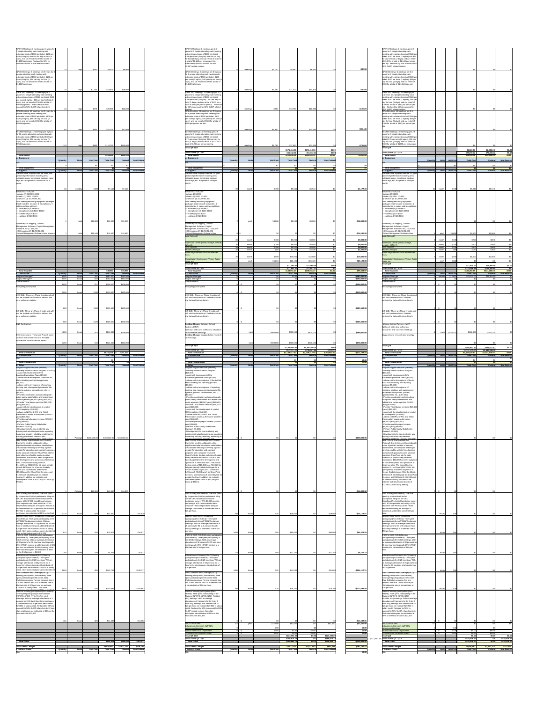| room (3 nights) and \$50 for day for food (4                                                                                                                                                                                                                                                                                                                                                                                                                                                                                                                                                                                                                                                                                                                                                                                                                                                                                                                                                                                                                                                                                                                                                                                                                                                                                                                                                                                                                                                                                                                                                                                                                                                                                                                                                                                                                                                                                                                                                                                                                                                                                                                                                                                                                                                                                                                                                                                                                                                                                                                                                                                                                                                                                                                                                                                                                                                                                                                                                                                                                                                                                                                                                                                                                                                                                                                                                                                                                                                                                                                                                                                                                                                                                                                                                                                                                                                                                                          |                 |                                   |                                     |                                     | vears for 2 people attending each meeting<br>with estimated costs of \$500 per ticket,                                                                                                                                                                     |                 |                         |                  |                                                              |                                                       |                                            |                                                  | years for 2 people attending each<br>meeting with estimated costs of \$500 per                                                                                                                                                                             |                         |                  |                                                                  |                                                               |                                        |
|-------------------------------------------------------------------------------------------------------------------------------------------------------------------------------------------------------------------------------------------------------------------------------------------------------------------------------------------------------------------------------------------------------------------------------------------------------------------------------------------------------------------------------------------------------------------------------------------------------------------------------------------------------------------------------------------------------------------------------------------------------------------------------------------------------------------------------------------------------------------------------------------------------------------------------------------------------------------------------------------------------------------------------------------------------------------------------------------------------------------------------------------------------------------------------------------------------------------------------------------------------------------------------------------------------------------------------------------------------------------------------------------------------------------------------------------------------------------------------------------------------------------------------------------------------------------------------------------------------------------------------------------------------------------------------------------------------------------------------------------------------------------------------------------------------------------------------------------------------------------------------------------------------------------------------------------------------------------------------------------------------------------------------------------------------------------------------------------------------------------------------------------------------------------------------------------------------------------------------------------------------------------------------------------------------------------------------------------------------------------------------------------------------------------------------------------------------------------------------------------------------------------------------------------------------------------------------------------------------------------------------------------------------------------------------------------------------------------------------------------------------------------------------------------------------------------------------------------------------------------------------------------------------------------------------------------------------------------------------------------------------------------------------------------------------------------------------------------------------------------------------------------------------------------------------------------------------------------------------------------------------------------------------------------------------------------------------------------------------------------------------------------------------------------------------------------------------------------------------------------------------------------------------------------------------------------------------------------------------------------------------------------------------------------------------------------------------------------------------------------------------------------------------------------------------------------------------------------------------------------------------------------------------------------------------------------------------|-----------------|-----------------------------------|-------------------------------------|-------------------------------------|------------------------------------------------------------------------------------------------------------------------------------------------------------------------------------------------------------------------------------------------------------|-----------------|-------------------------|------------------|--------------------------------------------------------------|-------------------------------------------------------|--------------------------------------------|--------------------------------------------------|------------------------------------------------------------------------------------------------------------------------------------------------------------------------------------------------------------------------------------------------------------|-------------------------|------------------|------------------------------------------------------------------|---------------------------------------------------------------|----------------------------------------|
| days), and car rental of \$100 for a total of<br>\$1,100/trip/person. Reduced by 50% to<br>account for 50% SLIGP related content.                                                                                                                                                                                                                                                                                                                                                                                                                                                                                                                                                                                                                                                                                                                                                                                                                                                                                                                                                                                                                                                                                                                                                                                                                                                                                                                                                                                                                                                                                                                                                                                                                                                                                                                                                                                                                                                                                                                                                                                                                                                                                                                                                                                                                                                                                                                                                                                                                                                                                                                                                                                                                                                                                                                                                                                                                                                                                                                                                                                                                                                                                                                                                                                                                                                                                                                                                                                                                                                                                                                                                                                                                                                                                                                                                                                                                     |                 |                                   |                                     |                                     | \$100 per room (3 nights) and \$60 for day<br>for food (4 days), and car rental of \$100 for<br>a total of \$1,140 per person per trip.<br>Reduced by 50% to account for 50%<br><b>SLIGP</b> related content.                                              |                 |                         |                  |                                                              |                                                       |                                            |                                                  | ticket, \$100 per room (3 nights) and \$60<br>for day for food (4 days), and car rental<br>of \$100 for a total of \$1,140 per person<br>per trip. Reduced by 50% to account for<br>50% SLIGP related content.                                             |                         |                  |                                                                  |                                                               |                                        |
| APCO Meetings: 6 meetings per 3 years for 3<br>people attending each meeting with<br>estimated costs of \$500 per ticket, \$100 per<br>room (3 nights), \$50 per day for food (4<br>days), and car rental of \$100 for a total of<br>\$1,100/trip/person                                                                                                                                                                                                                                                                                                                                                                                                                                                                                                                                                                                                                                                                                                                                                                                                                                                                                                                                                                                                                                                                                                                                                                                                                                                                                                                                                                                                                                                                                                                                                                                                                                                                                                                                                                                                                                                                                                                                                                                                                                                                                                                                                                                                                                                                                                                                                                                                                                                                                                                                                                                                                                                                                                                                                                                                                                                                                                                                                                                                                                                                                                                                                                                                                                                                                                                                                                                                                                                                                                                                                                                                                                                                                              |                 | \$550                             | \$9.900                             | \$9.900                             | APCO Meetings: 5 meetings per 2.5 years<br>for 2 people attending each meeting with<br>estimated costs of \$500 per ticket, \$100<br>per room (3 nights), \$60 per day for food (4<br>days), and car rental of \$100 for a total of<br>\$1,140/trip/person |                 | meetings                | \$1.140          | \$6.840                                                      | <b>\$6,840</b>                                        |                                            | $-$3,060$                                        | APCO Meetings: 5 meetings per 2.5<br>years for 2 people attending each<br>meeting with estimated costs of \$500 per<br>ticket, \$100 per room (3 nights), \$60 per<br>day for food (4 days), and car rental of<br>\$100 for a total of \$1,140/trip/person |                         |                  |                                                                  |                                                               |                                        |
| SWBCWG Meetings: 12 meetings per 3<br>years for 4 people attending each meeting                                                                                                                                                                                                                                                                                                                                                                                                                                                                                                                                                                                                                                                                                                                                                                                                                                                                                                                                                                                                                                                                                                                                                                                                                                                                                                                                                                                                                                                                                                                                                                                                                                                                                                                                                                                                                                                                                                                                                                                                                                                                                                                                                                                                                                                                                                                                                                                                                                                                                                                                                                                                                                                                                                                                                                                                                                                                                                                                                                                                                                                                                                                                                                                                                                                                                                                                                                                                                                                                                                                                                                                                                                                                                                                                                                                                                                                                       |                 | <b>ደ1 100</b>                     | \$19,800                            | \$19.800                            | SWBCWG Meetings: 11 meetings per 2.5<br>years for 2 people attending each meeting                                                                                                                                                                          |                 | meetings                | \$2,280          | \$11.400                                                     | \$11,400                                              |                                            | $-$ \$8,400                                      | SWBCWG Meetings: 11 meetings per<br>2.5 years for 2 people attending each                                                                                                                                                                                  |                         |                  |                                                                  |                                                               |                                        |
| with estimated costs of \$500 per ticket, \$100<br>per room (2 nights), \$50 per day for food (3<br>days), and car rental of \$100 for a total of<br>\$950/trip/person. Reduced by 50% to                                                                                                                                                                                                                                                                                                                                                                                                                                                                                                                                                                                                                                                                                                                                                                                                                                                                                                                                                                                                                                                                                                                                                                                                                                                                                                                                                                                                                                                                                                                                                                                                                                                                                                                                                                                                                                                                                                                                                                                                                                                                                                                                                                                                                                                                                                                                                                                                                                                                                                                                                                                                                                                                                                                                                                                                                                                                                                                                                                                                                                                                                                                                                                                                                                                                                                                                                                                                                                                                                                                                                                                                                                                                                                                                                             |                 |                                   |                                     |                                     | with estimated costs of \$500 per ticket,<br>\$100 per room (2 nights), \$60 per day for<br>food (3 days), and car rental of \$100 for a<br>total of \$980 per person per trip. Reduced                                                                    |                 |                         |                  |                                                              |                                                       |                                            |                                                  | meeting with estimated costs of \$500 pe<br>ticket, \$100 per room (2 nights), \$60 per<br>day for food (3 days), and car rental of<br>\$100 for a total of \$980 per person per                                                                           |                         |                  |                                                                  |                                                               |                                        |
| account for 50% SLIGP related content.<br>NTIA Meetings: 12 meetings per 3 years for 5<br>people attending each meeting with<br>estimated costs of \$500 per ticket, \$100 per                                                                                                                                                                                                                                                                                                                                                                                                                                                                                                                                                                                                                                                                                                                                                                                                                                                                                                                                                                                                                                                                                                                                                                                                                                                                                                                                                                                                                                                                                                                                                                                                                                                                                                                                                                                                                                                                                                                                                                                                                                                                                                                                                                                                                                                                                                                                                                                                                                                                                                                                                                                                                                                                                                                                                                                                                                                                                                                                                                                                                                                                                                                                                                                                                                                                                                                                                                                                                                                                                                                                                                                                                                                                                                                                                                        |                 | \$475                             | \$22,800                            | \$22,800                            | by 50% to account for 50% SLIGP related<br>NTIA Meetings: 11 meetings per 2.5 years<br>for 5 people attending each meeting with<br>estimated costs of \$500 per ticket, \$100                                                                              |                 | meetings                |                  | \$10.780                                                     | \$10.780                                              |                                            | $-$12,020$                                       | trip. Reduced by 50% to account for<br>50% SLIGP related content<br>NTIA Meetings: 11 meetings per 2.5<br>years for 5 people attending each<br>meeting with estimated costs of \$500 per                                                                   |                         |                  |                                                                  |                                                               |                                        |
| room (2 nights), \$50 per day for food (3<br>days), and car rental of \$100 for a total of<br>\$950/trip/person.                                                                                                                                                                                                                                                                                                                                                                                                                                                                                                                                                                                                                                                                                                                                                                                                                                                                                                                                                                                                                                                                                                                                                                                                                                                                                                                                                                                                                                                                                                                                                                                                                                                                                                                                                                                                                                                                                                                                                                                                                                                                                                                                                                                                                                                                                                                                                                                                                                                                                                                                                                                                                                                                                                                                                                                                                                                                                                                                                                                                                                                                                                                                                                                                                                                                                                                                                                                                                                                                                                                                                                                                                                                                                                                                                                                                                                      |                 |                                   |                                     |                                     | per room (2 nights), \$60 per day for food (3<br>days), and car rental of \$100 for a total of<br>\$980 per person per trip.                                                                                                                               |                 |                         |                  |                                                              |                                                       |                                            |                                                  | ticket, \$100 per room (2 nights), \$60 per<br>day for food (3 days), and car rental of<br>\$100 for a total of \$980 per person per                                                                                                                       |                         |                  |                                                                  |                                                               |                                        |
| FirstNet Meetings: 12 meetings per 3 years<br>for 10 people attending each meeting with<br>estimated costs of \$500 per ticket \$100 per<br>room (2 nights), \$50 per day for food (3                                                                                                                                                                                                                                                                                                                                                                                                                                                                                                                                                                                                                                                                                                                                                                                                                                                                                                                                                                                                                                                                                                                                                                                                                                                                                                                                                                                                                                                                                                                                                                                                                                                                                                                                                                                                                                                                                                                                                                                                                                                                                                                                                                                                                                                                                                                                                                                                                                                                                                                                                                                                                                                                                                                                                                                                                                                                                                                                                                                                                                                                                                                                                                                                                                                                                                                                                                                                                                                                                                                                                                                                                                                                                                                                                                 |                 | \$950                             | \$57,000                            | \$57,000                            | FirstNet Meetings: 10 meetings per 2.5<br>years for 3 people attending each meeting<br>with estimated costs of \$500 per ticket<br>\$175 per room (3 nights), \$60 per day for                                                                             |                 | meetings                | \$1,960          | \$21,560                                                     | \$21,560                                              |                                            | $-$ \$35,440                                     | FirstNet Meetings: 10 meetings per 2.5<br>years for 3 people attending each<br>meeting with estimated costs of \$500 per<br>ticket \$175 per room (3 nights), \$60 per                                                                                     |                         |                  |                                                                  |                                                               |                                        |
| days), and car rental of \$100 for a total of<br>\$950/trip/person.                                                                                                                                                                                                                                                                                                                                                                                                                                                                                                                                                                                                                                                                                                                                                                                                                                                                                                                                                                                                                                                                                                                                                                                                                                                                                                                                                                                                                                                                                                                                                                                                                                                                                                                                                                                                                                                                                                                                                                                                                                                                                                                                                                                                                                                                                                                                                                                                                                                                                                                                                                                                                                                                                                                                                                                                                                                                                                                                                                                                                                                                                                                                                                                                                                                                                                                                                                                                                                                                                                                                                                                                                                                                                                                                                                                                                                                                                   |                 | \$950                             | \$114,000                           | \$114,000                           | food (4 days), and car rental of \$100 for a<br>total of \$1265 per person per trip.<br><b>Total Q9 - Q19</b>                                                                                                                                              |                 | meetings                | \$3,795          | \$37,950<br>\$171,410.00                                     | \$37,950<br>\$171,410.00                              | \$0.00                                     | $-$76,050$                                       | day for food (4 days), and car rental of<br>\$100 for a total of \$1265 per person pe<br>Total Q19                                                                                                                                                         |                         |                  | \$2,500.00                                                       | \$2,500.00                                                    | ደበ በ                                   |
| <b>Total Travel</b><br>. Equipment                                                                                                                                                                                                                                                                                                                                                                                                                                                                                                                                                                                                                                                                                                                                                                                                                                                                                                                                                                                                                                                                                                                                                                                                                                                                                                                                                                                                                                                                                                                                                                                                                                                                                                                                                                                                                                                                                                                                                                                                                                                                                                                                                                                                                                                                                                                                                                                                                                                                                                                                                                                                                                                                                                                                                                                                                                                                                                                                                                                                                                                                                                                                                                                                                                                                                                                                                                                                                                                                                                                                                                                                                                                                                                                                                                                                                                                                                                                    | Quantity        | Unit Cost                         | \$413,490<br><b>Total Cost</b>      | \$413,490<br>Non-Federal<br>Federal | <b>Total Actual Q1 - Q8</b><br><b>Total Travel</b><br>d. Equipment                                                                                                                                                                                         | Quantity        | <b>Units</b>            | Unit Cost        | \$51,442.41<br>\$222,852.41<br><b>Total Cost</b>             | \$51,442.41<br>\$222,852.41<br>Federal                | \$0.0<br>Non-Federal                       | $-$190,638$                                      | Total Actual Q1 - Q18<br><b>Total Travel</b><br>d. Equipment                                                                                                                                                                                               | Quantity<br>Units       | <b>Unit Cost</b> | \$76,815.32<br>\$79,315.32<br><b>Total Cost</b>                  | \$76,815.32<br>\$79,315.32<br>Federal                         | ደበ በ<br>\$በ በ<br>Non-Federa            |
| <b>Total Equipment</b><br>. Supplies                                                                                                                                                                                                                                                                                                                                                                                                                                                                                                                                                                                                                                                                                                                                                                                                                                                                                                                                                                                                                                                                                                                                                                                                                                                                                                                                                                                                                                                                                                                                                                                                                                                                                                                                                                                                                                                                                                                                                                                                                                                                                                                                                                                                                                                                                                                                                                                                                                                                                                                                                                                                                                                                                                                                                                                                                                                                                                                                                                                                                                                                                                                                                                                                                                                                                                                                                                                                                                                                                                                                                                                                                                                                                                                                                                                                                                                                                                                  | Quantity        | <b>Unit Cost</b><br><b>Ilnite</b> | <b>Total Cost</b>                   | Non-Federal<br>Federal              | <b>Total Equipment</b><br>e. Supplies                                                                                                                                                                                                                      | Quantity        | <b>Ilnits</b>           | <b>Unit Cost</b> | <b>Total Cost</b>                                            | Federal                                               | Non-Federa                                 |                                                  | <b>Total Equipment</b><br>. Supplies                                                                                                                                                                                                                       | Quantity                | Units Unit Cost  | <b>Total Cost</b>                                                | Federal                                                       | Non-Federal                            |
| General office supplies over the three year<br>period of performance including pens,<br>notepads, paper, envelopes, postage, name<br>tags, etc. Budgeted at \$198/month for 3                                                                                                                                                                                                                                                                                                                                                                                                                                                                                                                                                                                                                                                                                                                                                                                                                                                                                                                                                                                                                                                                                                                                                                                                                                                                                                                                                                                                                                                                                                                                                                                                                                                                                                                                                                                                                                                                                                                                                                                                                                                                                                                                                                                                                                                                                                                                                                                                                                                                                                                                                                                                                                                                                                                                                                                                                                                                                                                                                                                                                                                                                                                                                                                                                                                                                                                                                                                                                                                                                                                                                                                                                                                                                                                                                                         |                 |                                   |                                     |                                     | General office supplies over the 2.5 year<br>period of performance including pens,<br>notepads, paper, envelopes, postage,<br>name tags, etc. Budgeted at \$198 per                                                                                        |                 |                         |                  |                                                              |                                                       |                                            |                                                  | General office supplies over the 2.5 year<br>period of performance including pens,<br>notepads, paper, envelopes, postage,<br>name tags, etc. Budgeted at \$198 per                                                                                        |                         |                  |                                                                  |                                                               |                                        |
| Electronics - \$26,000<br>-laptops (7) \$1900 \$13,300<br>tablets (7) \$500 \$3,500<br>projectors (4) \$1,200 \$4,800                                                                                                                                                                                                                                                                                                                                                                                                                                                                                                                                                                                                                                                                                                                                                                                                                                                                                                                                                                                                                                                                                                                                                                                                                                                                                                                                                                                                                                                                                                                                                                                                                                                                                                                                                                                                                                                                                                                                                                                                                                                                                                                                                                                                                                                                                                                                                                                                                                                                                                                                                                                                                                                                                                                                                                                                                                                                                                                                                                                                                                                                                                                                                                                                                                                                                                                                                                                                                                                                                                                                                                                                                                                                                                                                                                                                                                 |                 | monthly                           | <b>47117</b><br>\$198               | \$7.117                             | Electronics - \$26,000<br>-laptops $(2)$ \$4000<br>-tablets (0) \$500 \$3,500<br>-projectors (0) \$1,200 \$4,800                                                                                                                                           |                 | month                   |                  | \$5,940                                                      | \$5.940                                               |                                            | $-$1,177.20$                                     | Electronics - \$26,000<br>-laptops $(2)$ \$4000<br>-tablets $(0)$ \$500 \$3,500<br>$-$ projectors (0) \$1,200 \$4,800                                                                                                                                      | month                   |                  | \$5940                                                           | \$5,940                                                       |                                        |
| -four meeting recording equipment packages<br>(each include 1 recorder, 4 microphones, 4<br>cables and two splitters).<br>- recorders (4) \$200 \$800                                                                                                                                                                                                                                                                                                                                                                                                                                                                                                                                                                                                                                                                                                                                                                                                                                                                                                                                                                                                                                                                                                                                                                                                                                                                                                                                                                                                                                                                                                                                                                                                                                                                                                                                                                                                                                                                                                                                                                                                                                                                                                                                                                                                                                                                                                                                                                                                                                                                                                                                                                                                                                                                                                                                                                                                                                                                                                                                                                                                                                                                                                                                                                                                                                                                                                                                                                                                                                                                                                                                                                                                                                                                                                                                                                                                 |                 |                                   |                                     |                                     | -four meeting recording equipment<br>packages (each include 1 recorder, 4<br>Imicrophones, 4 cables and two splitters).<br>-- recorders (0) \$200 \$800                                                                                                    |                 |                         |                  |                                                              |                                                       |                                            |                                                  | -four meeting recording equipment<br>packages (each include 1 recorder, 4<br>microphones, 4 cables and two splitters)<br>-- recorders (0) \$200 \$800                                                                                                      |                         |                  |                                                                  |                                                               |                                        |
| - microphones (16) \$200 \$3200<br>- cables (16) \$15 \$240<br>- splitters (8) \$20 \$160                                                                                                                                                                                                                                                                                                                                                                                                                                                                                                                                                                                                                                                                                                                                                                                                                                                                                                                                                                                                                                                                                                                                                                                                                                                                                                                                                                                                                                                                                                                                                                                                                                                                                                                                                                                                                                                                                                                                                                                                                                                                                                                                                                                                                                                                                                                                                                                                                                                                                                                                                                                                                                                                                                                                                                                                                                                                                                                                                                                                                                                                                                                                                                                                                                                                                                                                                                                                                                                                                                                                                                                                                                                                                                                                                                                                                                                             |                 |                                   |                                     |                                     | -- microphones (0) \$200 \$3200<br>-- cables (0) \$15 \$240<br>-- splitters (0) \$20 \$160                                                                                                                                                                 |                 |                         |                  |                                                              |                                                       |                                            |                                                  | -- microphones (0) \$200 \$3200<br>--- cables (0) \$15 \$240<br>--- splitters (0) \$20 \$160                                                                                                                                                               |                         |                  |                                                                  |                                                               |                                        |
| Software (GIS mapping, Contact<br>Management Software, Project Management<br>Software, etc.) - \$16,540<br>- GIS mapping (2) \$1,250 \$2,500                                                                                                                                                                                                                                                                                                                                                                                                                                                                                                                                                                                                                                                                                                                                                                                                                                                                                                                                                                                                                                                                                                                                                                                                                                                                                                                                                                                                                                                                                                                                                                                                                                                                                                                                                                                                                                                                                                                                                                                                                                                                                                                                                                                                                                                                                                                                                                                                                                                                                                                                                                                                                                                                                                                                                                                                                                                                                                                                                                                                                                                                                                                                                                                                                                                                                                                                                                                                                                                                                                                                                                                                                                                                                                                                                                                                          |                 | \$26,000                          | \$26,000                            | \$26,000                            | Software (GIS mapping, Contact<br>Management Software, Project<br>Management Software, etc.) - \$16,540<br>- GIS mapping (2) \$1,250 \$2,500                                                                                                               |                 | each                    | \$4.000          | \$8,000                                                      | \$8,000                                               |                                            | $-$18,000.00$                                    | Software (GIS mapping, Contact<br>Management Software, Project<br>Management Software, etc.) - \$16,540<br>- GIS mapping (2) $$1,250$ $$2,500$                                                                                                             |                         |                  |                                                                  |                                                               |                                        |
| -Project Management Software User licenses                                                                                                                                                                                                                                                                                                                                                                                                                                                                                                                                                                                                                                                                                                                                                                                                                                                                                                                                                                                                                                                                                                                                                                                                                                                                                                                                                                                                                                                                                                                                                                                                                                                                                                                                                                                                                                                                                                                                                                                                                                                                                                                                                                                                                                                                                                                                                                                                                                                                                                                                                                                                                                                                                                                                                                                                                                                                                                                                                                                                                                                                                                                                                                                                                                                                                                                                                                                                                                                                                                                                                                                                                                                                                                                                                                                                                                                                                                            |                 | \$16,540<br>total                 | \$16,540                            | \$16,540                            | -Project Management Software User<br><b>LAN (Network)</b>                                                                                                                                                                                                  |                 | $\sim$<br>month         | \$100            | \$3.000                                                      | \$3.000                                               |                                            | $-$16,540.00$<br>\$3,000.00                      | -Project Management Software User<br><b>LAN (Network)</b>                                                                                                                                                                                                  | each<br>month           | 53.800           | \$3.800<br>\$200                                                 | \$3.800<br>\$200                                              |                                        |
|                                                                                                                                                                                                                                                                                                                                                                                                                                                                                                                                                                                                                                                                                                                                                                                                                                                                                                                                                                                                                                                                                                                                                                                                                                                                                                                                                                                                                                                                                                                                                                                                                                                                                                                                                                                                                                                                                                                                                                                                                                                                                                                                                                                                                                                                                                                                                                                                                                                                                                                                                                                                                                                                                                                                                                                                                                                                                                                                                                                                                                                                                                                                                                                                                                                                                                                                                                                                                                                                                                                                                                                                                                                                                                                                                                                                                                                                                                                                                       |                 |                                   |                                     |                                     | State Data Center (Email, storage, website,<br><b>AZNet II</b><br><b>Misc Supplies</b><br>Mobile & Hotspot<br>Event Registrations/Subscript/Member                                                                                                         |                 | month<br>month<br>month | \$200<br>\$200   | \$6,000<br>\$6,00<br>\$2,400                                 | \$6.000<br>\$6,000<br>\$2.400                         |                                            | \$6.000.00<br>\$6,000.00<br>\$2,400.00           | State Data Center (Email, storage,<br>website. AZNet II)<br><b>Misc Supplies</b><br>Mobile & Hotspot<br><b>Event Registrations/Subscript/Member</b>                                                                                                        | month<br>month<br>month |                  | Q160                                                             | $$400$ $$$<br>\$400<br>\$160                                  |                                        |
|                                                                                                                                                                                                                                                                                                                                                                                                                                                                                                                                                                                                                                                                                                                                                                                                                                                                                                                                                                                                                                                                                                                                                                                                                                                                                                                                                                                                                                                                                                                                                                                                                                                                                                                                                                                                                                                                                                                                                                                                                                                                                                                                                                                                                                                                                                                                                                                                                                                                                                                                                                                                                                                                                                                                                                                                                                                                                                                                                                                                                                                                                                                                                                                                                                                                                                                                                                                                                                                                                                                                                                                                                                                                                                                                                                                                                                                                                                                                                       |                 |                                   |                                     |                                     | <b>Consultation Conferences (Venue, Audio</b><br>Video, etc.                                                                                                                                                                                               |                 | month<br>-eacl          | \$500<br>\$5.024 | \$15,000<br>\$25,12                                          | \$15,000<br>\$25,120                                  |                                            | \$15,000.00<br>\$25,120.00                       | <b>Consultation Conferences (Venue, Audio)</b><br>Video, et<br>Total Q19                                                                                                                                                                                   | month<br>each           |                  | \$1.000L                                                         | \$1,000                                                       |                                        |
| <b>Total Supplies</b><br><b>Contractual</b>                                                                                                                                                                                                                                                                                                                                                                                                                                                                                                                                                                                                                                                                                                                                                                                                                                                                                                                                                                                                                                                                                                                                                                                                                                                                                                                                                                                                                                                                                                                                                                                                                                                                                                                                                                                                                                                                                                                                                                                                                                                                                                                                                                                                                                                                                                                                                                                                                                                                                                                                                                                                                                                                                                                                                                                                                                                                                                                                                                                                                                                                                                                                                                                                                                                                                                                                                                                                                                                                                                                                                                                                                                                                                                                                                                                                                                                                                                           | Quantity        | Unit Cost<br><b>Units</b>         | \$49,657<br><b>Total Cost</b>       | \$49,657<br>Non-Federal<br>Federal  | Total Q9 -Q19<br>Total Actual Q1 - Q8<br><b>Total Supplies</b><br>f. Contractual                                                                                                                                                                           | Quantity        | <b>Units</b>            | <b>Unit Cost</b> | \$71,460.0<br>\$77,601.2<br>\$149,061.2<br><b>Total Cost</b> | \$71,460.00<br>\$77,601.27<br>\$149,061.27<br>Federal | \$0.0<br><b>Non-Federal</b>                | \$99,404.07                                      | Total Actual Q1 - Q18<br><b>Total Supplies</b><br>Contractual                                                                                                                                                                                              | Quantity                | Units Unit Cost  | \$11,900.00<br>\$119,366.85<br>\$131,266.85<br><b>Total Cost</b> | \$11,900.00<br>\$119,366.85<br>\$131,266.85<br><b>Federal</b> | \$በ በ<br>Non-Federa                    |
| Program Manager*<br>Project Manager*<br>Administrator*                                                                                                                                                                                                                                                                                                                                                                                                                                                                                                                                                                                                                                                                                                                                                                                                                                                                                                                                                                                                                                                                                                                                                                                                                                                                                                                                                                                                                                                                                                                                                                                                                                                                                                                                                                                                                                                                                                                                                                                                                                                                                                                                                                                                                                                                                                                                                                                                                                                                                                                                                                                                                                                                                                                                                                                                                                                                                                                                                                                                                                                                                                                                                                                                                                                                                                                                                                                                                                                                                                                                                                                                                                                                                                                                                                                                                                                                                                | -6000<br>6000 l |                                   | \$582,000<br>\$492,000<br>\$306,000 | \$582,000<br>\$492,000<br>\$306,000 | Program Manager<br>Project Manager*<br>Administrator*                                                                                                                                                                                                      |                 |                         |                  |                                                              | וחח ח¢                                                |                                            | -\$582,000.00<br>$-5492,000.0$<br>$-5306,000.00$ | Program Manager<br>Project Manager <sup>®</sup><br>Administrator*                                                                                                                                                                                          | months                  |                  | \$23,304.00                                                      | \$23,304.00                                                   |                                        |
| Policy/Regulatory SME<br>DCC SME. These are Phase II costs and will                                                                                                                                                                                                                                                                                                                                                                                                                                                                                                                                                                                                                                                                                                                                                                                                                                                                                                                                                                                                                                                                                                                                                                                                                                                                                                                                                                                                                                                                                                                                                                                                                                                                                                                                                                                                                                                                                                                                                                                                                                                                                                                                                                                                                                                                                                                                                                                                                                                                                                                                                                                                                                                                                                                                                                                                                                                                                                                                                                                                                                                                                                                                                                                                                                                                                                                                                                                                                                                                                                                                                                                                                                                                                                                                                                                                                                                                                   | 1000            | hours                             | \$120,000<br>\$120 L                | \$120,000                           | Policy/Regulatory SME<br>DCC SME. These are Phase II costs and                                                                                                                                                                                             |                 |                         |                  |                                                              |                                                       |                                            | $-$120,000.00$                                   | Policy/Regulatory SME<br>DCC SME. These are Phase II costs and                                                                                                                                                                                             |                         |                  |                                                                  |                                                               |                                        |
| not be started until FirstNet defines the<br>data collection details.                                                                                                                                                                                                                                                                                                                                                                                                                                                                                                                                                                                                                                                                                                                                                                                                                                                                                                                                                                                                                                                                                                                                                                                                                                                                                                                                                                                                                                                                                                                                                                                                                                                                                                                                                                                                                                                                                                                                                                                                                                                                                                                                                                                                                                                                                                                                                                                                                                                                                                                                                                                                                                                                                                                                                                                                                                                                                                                                                                                                                                                                                                                                                                                                                                                                                                                                                                                                                                                                                                                                                                                                                                                                                                                                                                                                                                                                                 |                 |                                   |                                     |                                     | will not be started until FirstNet defines<br>the data collection details.                                                                                                                                                                                 |                 |                         |                  |                                                              |                                                       |                                            |                                                  | will not be started until FirstNet<br>defines the data collection details                                                                                                                                                                                  |                         |                  |                                                                  |                                                               |                                        |
| GIS SME. These are Phase II costs and will<br>not be started until FirstNet defines the<br>data collection details.                                                                                                                                                                                                                                                                                                                                                                                                                                                                                                                                                                                                                                                                                                                                                                                                                                                                                                                                                                                                                                                                                                                                                                                                                                                                                                                                                                                                                                                                                                                                                                                                                                                                                                                                                                                                                                                                                                                                                                                                                                                                                                                                                                                                                                                                                                                                                                                                                                                                                                                                                                                                                                                                                                                                                                                                                                                                                                                                                                                                                                                                                                                                                                                                                                                                                                                                                                                                                                                                                                                                                                                                                                                                                                                                                                                                                                   |                 | hours                             | \$105,600<br>\$120                  | \$105,600                           | GIS SME. These are Phase II costs and<br>will not be started until FirstNet defines<br>the data collection details.                                                                                                                                        |                 |                         |                  |                                                              |                                                       |                                            | $-$105,600.00$                                   | GIS SME. These are Phase II costs and<br>will not be started until FirstNet<br>defines the data collection details.                                                                                                                                        |                         |                  |                                                                  |                                                               |                                        |
| <b>E&amp;O Contractors</b>                                                                                                                                                                                                                                                                                                                                                                                                                                                                                                                                                                                                                                                                                                                                                                                                                                                                                                                                                                                                                                                                                                                                                                                                                                                                                                                                                                                                                                                                                                                                                                                                                                                                                                                                                                                                                                                                                                                                                                                                                                                                                                                                                                                                                                                                                                                                                                                                                                                                                                                                                                                                                                                                                                                                                                                                                                                                                                                                                                                                                                                                                                                                                                                                                                                                                                                                                                                                                                                                                                                                                                                                                                                                                                                                                                                                                                                                                                                            |                 | hours                             | \$105,600<br>\$120l                 | \$105,600                           | <b>Position Change - Mission Critical</b><br>Partners (MCP)                                                                                                                                                                                                |                 |                         |                  |                                                              |                                                       |                                            | $-$105,600.00$                                   | Mission Critical Partners (MCP)<br>Will assit with data collection,                                                                                                                                                                                        |                         |                  |                                                                  |                                                               |                                        |
| DCC Contractors. These are Phase II costs<br>and will not be started until FirstNet                                                                                                                                                                                                                                                                                                                                                                                                                                                                                                                                                                                                                                                                                                                                                                                                                                                                                                                                                                                                                                                                                                                                                                                                                                                                                                                                                                                                                                                                                                                                                                                                                                                                                                                                                                                                                                                                                                                                                                                                                                                                                                                                                                                                                                                                                                                                                                                                                                                                                                                                                                                                                                                                                                                                                                                                                                                                                                                                                                                                                                                                                                                                                                                                                                                                                                                                                                                                                                                                                                                                                                                                                                                                                                                                                                                                                                                                   | 4800            | hours                             | \$216,000                           | \$216,000                           | Will assit with data collection, education<br>and outreach meetings<br>Position Change - Zuggand data research<br>and strategy                                                                                                                             |                 | eac                     | \$800,000        | \$800,000                                                    | \$800,000                                             |                                            | \$584,000.00                                     | education and outreach meetings<br>Zuggand data research and strategy                                                                                                                                                                                      | eachl                   | \$442.374        | \$442,374                                                        | \$442,374                                                     |                                        |
| defines the data collection details.                                                                                                                                                                                                                                                                                                                                                                                                                                                                                                                                                                                                                                                                                                                                                                                                                                                                                                                                                                                                                                                                                                                                                                                                                                                                                                                                                                                                                                                                                                                                                                                                                                                                                                                                                                                                                                                                                                                                                                                                                                                                                                                                                                                                                                                                                                                                                                                                                                                                                                                                                                                                                                                                                                                                                                                                                                                                                                                                                                                                                                                                                                                                                                                                                                                                                                                                                                                                                                                                                                                                                                                                                                                                                                                                                                                                                                                                                                                  |                 |                                   | \$324,000                           | \$324,000                           | <b>Total Q9 - Q19</b><br>Total Actual Q1 - Q8                                                                                                                                                                                                              |                 |                         | \$500,000        | \$500,000<br>\$1,300,000.<br>\$839,417                       | \$500.000<br>\$1,300,000.00<br>\$739,417.50           | \$0.0<br>\$100,000                         | \$176,000.00                                     | Total Q19<br>Total Actual Q1 - Q18                                                                                                                                                                                                                         |                         |                  | \$465,677.5<br>\$1,947,248.                                      | \$465,677.5<br>\$1,947,248.35                                 | \$0.00                                 |
| <b>Total Contractual</b><br><b>Construction</b>                                                                                                                                                                                                                                                                                                                                                                                                                                                                                                                                                                                                                                                                                                                                                                                                                                                                                                                                                                                                                                                                                                                                                                                                                                                                                                                                                                                                                                                                                                                                                                                                                                                                                                                                                                                                                                                                                                                                                                                                                                                                                                                                                                                                                                                                                                                                                                                                                                                                                                                                                                                                                                                                                                                                                                                                                                                                                                                                                                                                                                                                                                                                                                                                                                                                                                                                                                                                                                                                                                                                                                                                                                                                                                                                                                                                                                                                                                       | Quantity        | Unit Cost                         | \$2,251,200<br><b>Total Cost</b>    | 2,251,200<br>Non-Federal<br>Federal | <b>Total Contractual</b><br>Construction                                                                                                                                                                                                                   | Quantity        |                         | <b>Unit Cost</b> | \$2,139,417.5<br><b>Total Cost</b>                           | 2.039.417.5<br>Federal                                | \$100,000.0<br><b>Non-Federal</b>          | $-5111,782.5$<br>\$0.00                          | <b>Total Contractual</b><br><b>Construction</b>                                                                                                                                                                                                            | <b>Quantity</b>         | Units Unit Cost  | \$2,412,925.9<br><b>Total Cost</b>                               | \$2,412,925.92<br><b>Federal</b>                              | <b>Non-Federal</b>                     |
| <b>Total Construction</b><br>Other<br>Program Support services: (Federal)<br>- Develop Tribal Outreach Program (\$20,000)<br>- Assist with development of the                                                                                                                                                                                                                                                                                                                                                                                                                                                                                                                                                                                                                                                                                                                                                                                                                                                                                                                                                                                                                                                                                                                                                                                                                                                                                                                                                                                                                                                                                                                                                                                                                                                                                                                                                                                                                                                                                                                                                                                                                                                                                                                                                                                                                                                                                                                                                                                                                                                                                                                                                                                                                                                                                                                                                                                                                                                                                                                                                                                                                                                                                                                                                                                                                                                                                                                                                                                                                                                                                                                                                                                                                                                                                                                                                                                         | Quantity        | Unit Cost<br>Units                | <b>Total Cost</b>                   | Non-Federal<br>Federal              | <b>Total Construction</b><br>Other<br>Program Support services: (Federal)<br>- Develop Tribal Outreach Program<br>(\$20.000)                                                                                                                               | <b>Quantity</b> | <b>Units</b>            | <b>Unit Cost</b> | <b>Total Cost</b>                                            | Federal                                               | Non-Federal                                | \$0.00                                           | <b>Total Construction</b><br>. Other<br>Program Support services: (Federal)<br>- Develop Tribal Outreach Program<br>(S20,000)                                                                                                                              | Quantity                | Units Unit Cost  | <b>Total Cost</b>                                                | Federal                                                       | Non-Federa                             |
| Baseline/Expenditure Plans (\$7,500)<br>- Advise on the development of the In-Kind<br>Match tracking and reporting process<br>$($ \$5.000)                                                                                                                                                                                                                                                                                                                                                                                                                                                                                                                                                                                                                                                                                                                                                                                                                                                                                                                                                                                                                                                                                                                                                                                                                                                                                                                                                                                                                                                                                                                                                                                                                                                                                                                                                                                                                                                                                                                                                                                                                                                                                                                                                                                                                                                                                                                                                                                                                                                                                                                                                                                                                                                                                                                                                                                                                                                                                                                                                                                                                                                                                                                                                                                                                                                                                                                                                                                                                                                                                                                                                                                                                                                                                                                                                                                                            |                 |                                   |                                     |                                     | - Assist with development of the<br>Baseline/Expenditure Plans (\$7,500)<br>- Advise on the development of the In-Kind                                                                                                                                     |                 |                         |                  |                                                              |                                                       |                                            |                                                  | - Assist with development of the                                                                                                                                                                                                                           |                         |                  |                                                                  |                                                               |                                        |
| - Advise on the development of reporting,<br>tracking, and management processes (file<br>systems, policies, spreadsheets, etc)<br>(\$7,500)                                                                                                                                                                                                                                                                                                                                                                                                                                                                                                                                                                                                                                                                                                                                                                                                                                                                                                                                                                                                                                                                                                                                                                                                                                                                                                                                                                                                                                                                                                                                                                                                                                                                                                                                                                                                                                                                                                                                                                                                                                                                                                                                                                                                                                                                                                                                                                                                                                                                                                                                                                                                                                                                                                                                                                                                                                                                                                                                                                                                                                                                                                                                                                                                                                                                                                                                                                                                                                                                                                                                                                                                                                                                                                                                                                                                           |                 |                                   |                                     |                                     | Match tracking and reporting process                                                                                                                                                                                                                       |                 |                         |                  |                                                              |                                                       |                                            |                                                  | Baseline/Expenditure Plans (\$7,500)<br>- Advise on the development of the In-<br>Kind Match tracking and reporting                                                                                                                                        |                         |                  |                                                                  |                                                               |                                        |
|                                                                                                                                                                                                                                                                                                                                                                                                                                                                                                                                                                                                                                                                                                                                                                                                                                                                                                                                                                                                                                                                                                                                                                                                                                                                                                                                                                                                                                                                                                                                                                                                                                                                                                                                                                                                                                                                                                                                                                                                                                                                                                                                                                                                                                                                                                                                                                                                                                                                                                                                                                                                                                                                                                                                                                                                                                                                                                                                                                                                                                                                                                                                                                                                                                                                                                                                                                                                                                                                                                                                                                                                                                                                                                                                                                                                                                                                                                                                                       |                 |                                   |                                     |                                     | (\$5.000)<br>- Advise on the development of reporting.<br>tracking, and management processes (file<br>systems, policies, spreadsheets, etc)                                                                                                                |                 |                         |                  |                                                              |                                                       |                                            |                                                  | process (\$5,000)<br>- Advise on the development of<br>reporting, tracking, and management<br>processes (file systems, policies,                                                                                                                           |                         |                  |                                                                  |                                                               |                                        |
|                                                                                                                                                                                                                                                                                                                                                                                                                                                                                                                                                                                                                                                                                                                                                                                                                                                                                                                                                                                                                                                                                                                                                                                                                                                                                                                                                                                                                                                                                                                                                                                                                                                                                                                                                                                                                                                                                                                                                                                                                                                                                                                                                                                                                                                                                                                                                                                                                                                                                                                                                                                                                                                                                                                                                                                                                                                                                                                                                                                                                                                                                                                                                                                                                                                                                                                                                                                                                                                                                                                                                                                                                                                                                                                                                                                                                                                                                                                                                       |                 |                                   |                                     |                                     | (\$7,500)<br>- Provide coordination and consulting with<br>bublic safety stakeholders and federal land<br>owner agencies $(\$4,000 / year)$ $(\$12,000)$<br>- Provide Tribal liaison services (\$15,000 /                                                  |                 |                         |                  |                                                              |                                                       |                                            |                                                  | spreadsheets, etc) (\$7,500)<br>- Provide coordination and consulting<br>with public safety stakeholders and<br>federal land owner agencies (\$4,000 /                                                                                                     |                         |                  |                                                                  |                                                               |                                        |
|                                                                                                                                                                                                                                                                                                                                                                                                                                                                                                                                                                                                                                                                                                                                                                                                                                                                                                                                                                                                                                                                                                                                                                                                                                                                                                                                                                                                                                                                                                                                                                                                                                                                                                                                                                                                                                                                                                                                                                                                                                                                                                                                                                                                                                                                                                                                                                                                                                                                                                                                                                                                                                                                                                                                                                                                                                                                                                                                                                                                                                                                                                                                                                                                                                                                                                                                                                                                                                                                                                                                                                                                                                                                                                                                                                                                                                                                                                                                                       |                 |                                   |                                     |                                     | vear) (\$45,000)<br>- Assist with the development of a set of<br>MOU templates (\$15,000)<br>- Advise on NEPA, SHPO, and Tribal                                                                                                                            |                 |                         |                  |                                                              |                                                       |                                            |                                                  | year) (\$12,000)<br>- Provide Tribal liaison services (\$15,000<br>/ year) (\$45,000)<br>- Assist with the development of a set of<br>MOU templates (\$15,000)                                                                                             |                         |                  |                                                                  |                                                               |                                        |
|                                                                                                                                                                                                                                                                                                                                                                                                                                                                                                                                                                                                                                                                                                                                                                                                                                                                                                                                                                                                                                                                                                                                                                                                                                                                                                                                                                                                                                                                                                                                                                                                                                                                                                                                                                                                                                                                                                                                                                                                                                                                                                                                                                                                                                                                                                                                                                                                                                                                                                                                                                                                                                                                                                                                                                                                                                                                                                                                                                                                                                                                                                                                                                                                                                                                                                                                                                                                                                                                                                                                                                                                                                                                                                                                                                                                                                                                                                                                                       |                 |                                   |                                     |                                     | Preservation issues as they arise (\$4,000 /<br>vear) (\$12,000)<br>- Provide quarterly report reviews (\$2,000 /<br>vear) (\$6,000)                                                                                                                       |                 |                         |                  |                                                              |                                                       |                                            |                                                  | - Advise on NEPA, SHPO, and Tribal<br>Preservation issues as they arise<br>$($ \$4,000 / year) $($ \$12,000)<br>- Provide quarterly report reviews                                                                                                         |                         |                  |                                                                  |                                                               |                                        |
|                                                                                                                                                                                                                                                                                                                                                                                                                                                                                                                                                                                                                                                                                                                                                                                                                                                                                                                                                                                                                                                                                                                                                                                                                                                                                                                                                                                                                                                                                                                                                                                                                                                                                                                                                                                                                                                                                                                                                                                                                                                                                                                                                                                                                                                                                                                                                                                                                                                                                                                                                                                                                                                                                                                                                                                                                                                                                                                                                                                                                                                                                                                                                                                                                                                                                                                                                                                                                                                                                                                                                                                                                                                                                                                                                                                                                                                                                                                                                       |                 |                                   |                                     |                                     | - Perform Public Safety Stakeholder<br>$Q$ utreach $(S5,000)$<br>- Development of a plan to identify any<br>existing contractual requirements regarding<br>hardening, security, reliability, resiliency for                                                |                 |                         |                  |                                                              |                                                       |                                            |                                                  | $(S2,000 / year)$ (\$6,000)<br>- Perform Public Safety Stakeholder<br>Outreach (\$5,000)<br>- Development of a plan to identify any<br>existing contractual requirements                                                                                   |                         |                  |                                                                  |                                                               |                                        |
| <u>idina wiroloss data </u>                                                                                                                                                                                                                                                                                                                                                                                                                                                                                                                                                                                                                                                                                                                                                                                                                                                                                                                                                                                                                                                                                                                                                                                                                                                                                                                                                                                                                                                                                                                                                                                                                                                                                                                                                                                                                                                                                                                                                                                                                                                                                                                                                                                                                                                                                                                                                                                                                                                                                                                                                                                                                                                                                                                                                                                                                                                                                                                                                                                                                                                                                                                                                                                                                                                                                                                                                                                                                                                                                                                                                                                                                                                                                                                                                                                                                                                                                                                           |                 | \$150,000.00<br>Package           | \$150,000,00                        | \$150,000.00                        | victing government networks and<br>Web Hosting and Development (Federal):<br>Due to the need to collaborate with a<br>significant number of external stakeholders                                                                                          |                 |                         |                  |                                                              |                                                       |                                            | $-$ \$150,000.00                                 | regarding hardening security reliability<br>Web Hosting and Development<br>(Federal): Due to the need to collaborate<br>with a significant number of external                                                                                              |                         |                  |                                                                  |                                                               |                                        |
|                                                                                                                                                                                                                                                                                                                                                                                                                                                                                                                                                                                                                                                                                                                                                                                                                                                                                                                                                                                                                                                                                                                                                                                                                                                                                                                                                                                                                                                                                                                                                                                                                                                                                                                                                                                                                                                                                                                                                                                                                                                                                                                                                                                                                                                                                                                                                                                                                                                                                                                                                                                                                                                                                                                                                                                                                                                                                                                                                                                                                                                                                                                                                                                                                                                                                                                                                                                                                                                                                                                                                                                                                                                                                                                                                                                                                                                                                                                                                       |                 |                                   |                                     |                                     | we anticipate needing to develop a public<br>website for education and outreach<br>purposes and a separate restricted<br>SharePoint site for data collection of public<br>safety sensitive information. \$46,800 has                                       |                 |                         |                  |                                                              |                                                       |                                            |                                                  | stakeholders, we anticipate needing to<br>develop a public website for education<br>and outreach purposes and a separate<br>restricted SharePoint site for data<br>collection of public safety sensitive                                                   |                         |                  |                                                                  |                                                               |                                        |
|                                                                                                                                                                                                                                                                                                                                                                                                                                                                                                                                                                                                                                                                                                                                                                                                                                                                                                                                                                                                                                                                                                                                                                                                                                                                                                                                                                                                                                                                                                                                                                                                                                                                                                                                                                                                                                                                                                                                                                                                                                                                                                                                                                                                                                                                                                                                                                                                                                                                                                                                                                                                                                                                                                                                                                                                                                                                                                                                                                                                                                                                                                                                                                                                                                                                                                                                                                                                                                                                                                                                                                                                                                                                                                                                                                                                                                                                                                                                                       |                 |                                   |                                     |                                     | been budgeted for the development and<br>operations of these two sites. The annual<br>hosting costs of \$11,440/year (\$34,320 for<br>full grant period) include \$400/year for a                                                                          |                 |                         |                  |                                                              |                                                       |                                            |                                                  | information. \$46,800 has been budgeted<br>for the development and operations of<br>these two sites. The annual hosting<br>costs of \$11,440/year (\$34,320 for full                                                                                       |                         |                  |                                                                  |                                                               |                                        |
|                                                                                                                                                                                                                                                                                                                                                                                                                                                                                                                                                                                                                                                                                                                                                                                                                                                                                                                                                                                                                                                                                                                                                                                                                                                                                                                                                                                                                                                                                                                                                                                                                                                                                                                                                                                                                                                                                                                                                                                                                                                                                                                                                                                                                                                                                                                                                                                                                                                                                                                                                                                                                                                                                                                                                                                                                                                                                                                                                                                                                                                                                                                                                                                                                                                                                                                                                                                                                                                                                                                                                                                                                                                                                                                                                                                                                                                                                                                                                       |                 |                                   |                                     |                                     | Secure Sockets Layer (SSL) Certificate,<br>\$495/month (\$5,940/year) for SharePoint<br>Services, and \$425/month (\$5,100/year) for<br>website hosting. In addition we estimate<br>web development costs of \$12,480 (130                                 |                 |                         |                  |                                                              |                                                       |                                            |                                                  | grant period) include \$400/year for a<br>Secure Sockets Layer (SSL) Certificate.<br>\$495/month (\$5,940/year) for SharePoint<br>Services, and \$425/month (\$5,100/year)<br>for website hosting. In addition we                                          |                         |                  |                                                                  |                                                               |                                        |
|                                                                                                                                                                                                                                                                                                                                                                                                                                                                                                                                                                                                                                                                                                                                                                                                                                                                                                                                                                                                                                                                                                                                                                                                                                                                                                                                                                                                                                                                                                                                                                                                                                                                                                                                                                                                                                                                                                                                                                                                                                                                                                                                                                                                                                                                                                                                                                                                                                                                                                                                                                                                                                                                                                                                                                                                                                                                                                                                                                                                                                                                                                                                                                                                                                                                                                                                                                                                                                                                                                                                                                                                                                                                                                                                                                                                                                                                                                                                                       |                 |                                   |                                     |                                     | hours @ \$96/hr).                                                                                                                                                                                                                                          |                 |                         |                  |                                                              |                                                       |                                            |                                                  | estimate web development costs of<br>\$12,480 (130 hours @ \$96/hr).                                                                                                                                                                                       |                         |                  |                                                                  |                                                               |                                        |
|                                                                                                                                                                                                                                                                                                                                                                                                                                                                                                                                                                                                                                                                                                                                                                                                                                                                                                                                                                                                                                                                                                                                                                                                                                                                                                                                                                                                                                                                                                                                                                                                                                                                                                                                                                                                                                                                                                                                                                                                                                                                                                                                                                                                                                                                                                                                                                                                                                                                                                                                                                                                                                                                                                                                                                                                                                                                                                                                                                                                                                                                                                                                                                                                                                                                                                                                                                                                                                                                                                                                                                                                                                                                                                                                                                                                                                                                                                                                                       |                 | \$46,800<br>Package               | \$46,800                            | \$46,800                            | Data Survey (Non-federal): The time spent<br>by prospective FirstNet participants filling<br>out the OEC Broadband Technical<br>Assistance survey. With 30,000 possible                                                                                    |                 |                         |                  |                                                              |                                                       |                                            | $-$ \$46,800.00                                  | Data Survey (Non-federal): The time<br>spent by prospective FirstNet<br>participants filling out the OEC<br>Broadband Technical Assistance survey.                                                                                                         |                         |                  |                                                                  |                                                               |                                        |
|                                                                                                                                                                                                                                                                                                                                                                                                                                                                                                                                                                                                                                                                                                                                                                                                                                                                                                                                                                                                                                                                                                                                                                                                                                                                                                                                                                                                                                                                                                                                                                                                                                                                                                                                                                                                                                                                                                                                                                                                                                                                                                                                                                                                                                                                                                                                                                                                                                                                                                                                                                                                                                                                                                                                                                                                                                                                                                                                                                                                                                                                                                                                                                                                                                                                                                                                                                                                                                                                                                                                                                                                                                                                                                                                                                                                                                                                                                                                                       |                 |                                   |                                     |                                     | and using a 10% response rate there<br>would be $\sim$ 3000 respondents taking an<br>average 15 minutes at an blended rate of<br>\$26 per hour.                                                                                                            |                 |                         |                  |                                                              |                                                       |                                            |                                                  | With 30,000 possible and using a 10%<br>response rate there would be $~1000$<br>respondents taking an average 15<br>minutes at an blended rate of \$26 per                                                                                                 |                         |                  |                                                                  |                                                               |                                        |
|                                                                                                                                                                                                                                                                                                                                                                                                                                                                                                                                                                                                                                                                                                                                                                                                                                                                                                                                                                                                                                                                                                                                                                                                                                                                                                                                                                                                                                                                                                                                                                                                                                                                                                                                                                                                                                                                                                                                                                                                                                                                                                                                                                                                                                                                                                                                                                                                                                                                                                                                                                                                                                                                                                                                                                                                                                                                                                                                                                                                                                                                                                                                                                                                                                                                                                                                                                                                                                                                                                                                                                                                                                                                                                                                                                                                                                                                                                                                                       | 1776 L          | hours                             | \$44,620<br>\$26 L                  | \$44,620                            | Arizona Public Safety Broadband<br>Workgroup (Non-federal): Time spent<br>participating in the AZPSBN Workgroup                                                                                                                                            | 750             | Hours                   | \$26             | \$19,500                                                     |                                                       | \$19,500                                   | $-525,119.61$                                    | Arizona Public Safety Broadband<br>Workgroup (Non-federal): Time spent<br>participating in the AZPSBN Workgroup                                                                                                                                            | Hours                   |                  |                                                                  |                                                               |                                        |
|                                                                                                                                                                                                                                                                                                                                                                                                                                                                                                                                                                                                                                                                                                                                                                                                                                                                                                                                                                                                                                                                                                                                                                                                                                                                                                                                                                                                                                                                                                                                                                                                                                                                                                                                                                                                                                                                                                                                                                                                                                                                                                                                                                                                                                                                                                                                                                                                                                                                                                                                                                                                                                                                                                                                                                                                                                                                                                                                                                                                                                                                                                                                                                                                                                                                                                                                                                                                                                                                                                                                                                                                                                                                                                                                                                                                                                                                                                                                                       |                 |                                   | \$15,677                            | \$15,67                             | meetings. With an average attendance of<br>25 persons for 64 (2.5 yrs) one-hour bi-<br>montly meetings at a blended rate of \$50<br>ber hour.                                                                                                              |                 | hours                   |                  | \$80.00                                                      |                                                       | \$80,000                                   | \$64,322.84                                      | meetings. With an average attendance<br>of 25 persons for 64 (2.5 yrs) one-hour<br>bi-montly meetings at a blended rate of<br>\$50 per hour.                                                                                                               | hours                   |                  |                                                                  |                                                               |                                        |
|                                                                                                                                                                                                                                                                                                                                                                                                                                                                                                                                                                                                                                                                                                                                                                                                                                                                                                                                                                                                                                                                                                                                                                                                                                                                                                                                                                                                                                                                                                                                                                                                                                                                                                                                                                                                                                                                                                                                                                                                                                                                                                                                                                                                                                                                                                                                                                                                                                                                                                                                                                                                                                                                                                                                                                                                                                                                                                                                                                                                                                                                                                                                                                                                                                                                                                                                                                                                                                                                                                                                                                                                                                                                                                                                                                                                                                                                                                                                                       |                 |                                   |                                     |                                     | <b>PSCC &amp; SIEC (SIGB) Meeting participation</b><br>(Non-federal): Time spent participating in<br>the SIGB meetings. With an average<br>attendance of 30 persons for 30 one-hour                                                                        |                 |                         |                  |                                                              |                                                       |                                            |                                                  | PSCC & SIEC (SIGB) Meeting<br>participation (Non-federal): Time spent<br>participating in the SIGB meetings. With<br>an average attendance of 30 persons for                                                                                               |                         |                  |                                                                  |                                                               |                                        |
|                                                                                                                                                                                                                                                                                                                                                                                                                                                                                                                                                                                                                                                                                                                                                                                                                                                                                                                                                                                                                                                                                                                                                                                                                                                                                                                                                                                                                                                                                                                                                                                                                                                                                                                                                                                                                                                                                                                                                                                                                                                                                                                                                                                                                                                                                                                                                                                                                                                                                                                                                                                                                                                                                                                                                                                                                                                                                                                                                                                                                                                                                                                                                                                                                                                                                                                                                                                                                                                                                                                                                                                                                                                                                                                                                                                                                                                                                                                                                       | 180 L           | hours                             | \$4,522<br>\$26                     | \$4,522                             | meetings with 25% NPSBN content at a<br>blended rate of \$50 per hour.<br>Education and Outreach (E&O) Meeting                                                                                                                                             | 225             | hours                   | \$50             | \$11,250                                                     |                                                       | \$11,250                                   | \$6,727.74                                       | 30 one-hour meetings with 25% NPSBN<br>content at a blended rate of \$50 per<br>Education and Outreach (E&O) Meeting                                                                                                                                       | hours                   |                  |                                                                  |                                                               |                                        |
|                                                                                                                                                                                                                                                                                                                                                                                                                                                                                                                                                                                                                                                                                                                                                                                                                                                                                                                                                                                                                                                                                                                                                                                                                                                                                                                                                                                                                                                                                                                                                                                                                                                                                                                                                                                                                                                                                                                                                                                                                                                                                                                                                                                                                                                                                                                                                                                                                                                                                                                                                                                                                                                                                                                                                                                                                                                                                                                                                                                                                                                                                                                                                                                                                                                                                                                                                                                                                                                                                                                                                                                                                                                                                                                                                                                                                                                                                                                                                       |                 |                                   |                                     |                                     | participation (Non-federal): Time spent<br>participating in the E&O meetings. With an<br>average attendance of 25 persons for 1<br>hour for 64 meetings at a blended rate of                                                                               |                 |                         |                  |                                                              |                                                       |                                            |                                                  | participation (Non-federal): Time spent<br>participating in the E&O meetings. With<br>an average attendance of 25 persons for<br>1 hour for 64 meetings at a blended rate                                                                                  |                         |                  |                                                                  |                                                               |                                        |
|                                                                                                                                                                                                                                                                                                                                                                                                                                                                                                                                                                                                                                                                                                                                                                                                                                                                                                                                                                                                                                                                                                                                                                                                                                                                                                                                                                                                                                                                                                                                                                                                                                                                                                                                                                                                                                                                                                                                                                                                                                                                                                                                                                                                                                                                                                                                                                                                                                                                                                                                                                                                                                                                                                                                                                                                                                                                                                                                                                                                                                                                                                                                                                                                                                                                                                                                                                                                                                                                                                                                                                                                                                                                                                                                                                                                                                                                                                                                                       |                 |                                   | \$145,717<br>\$26 L                 | \$145,71                            | \$26 per hour.<br>Data Collection and Coverage (DCC)<br>Meeting participation (Non-federal): Time                                                                                                                                                          |                 |                         | <b>\$26</b>      | \$41,600                                                     |                                                       | \$41,600                                   | $-$104,117.21$                                   | of \$26 per hour.<br>Data Collection and Coverage (DCC)<br>Meeting participation (Non-federal):                                                                                                                                                            | hours                   |                  |                                                                  |                                                               |                                        |
|                                                                                                                                                                                                                                                                                                                                                                                                                                                                                                                                                                                                                                                                                                                                                                                                                                                                                                                                                                                                                                                                                                                                                                                                                                                                                                                                                                                                                                                                                                                                                                                                                                                                                                                                                                                                                                                                                                                                                                                                                                                                                                                                                                                                                                                                                                                                                                                                                                                                                                                                                                                                                                                                                                                                                                                                                                                                                                                                                                                                                                                                                                                                                                                                                                                                                                                                                                                                                                                                                                                                                                                                                                                                                                                                                                                                                                                                                                                                                       |                 |                                   |                                     |                                     | spent participating in the on-site Data<br>Collection sessions. For one person's time<br>in a 1 hour session per 700 statewide sites<br>a blended rate of \$26 per hour.                                                                                   |                 |                         |                  |                                                              |                                                       |                                            |                                                  | Time spent participating in the on-site<br>Data Collection sessions. For one<br>person's time in a 1 hour session per<br>700 statewide sites a blended rate of                                                                                             |                         |                  |                                                                  |                                                               |                                        |
|                                                                                                                                                                                                                                                                                                                                                                                                                                                                                                                                                                                                                                                                                                                                                                                                                                                                                                                                                                                                                                                                                                                                                                                                                                                                                                                                                                                                                                                                                                                                                                                                                                                                                                                                                                                                                                                                                                                                                                                                                                                                                                                                                                                                                                                                                                                                                                                                                                                                                                                                                                                                                                                                                                                                                                                                                                                                                                                                                                                                                                                                                                                                                                                                                                                                                                                                                                                                                                                                                                                                                                                                                                                                                                                                                                                                                                                                                                                                                       |                 | hours                             | \$140,692<br>\$261                  | \$140,692                           | National Meeting participation (Non-<br>federal): Time spent participating in the<br>National (NPSTC, APCO, NTIA, FirstNet,                                                                                                                                | 700             | Hours                   | <b>\$26</b>      | \$18,200                                                     |                                                       | \$18,200                                   | $-$122,492.48$                                   | \$26 per hour.<br>National Meeting participation (Non-<br>federal): Time spent participating in the<br>National (NPSTC, APCO, NTIA,                                                                                                                        | Hours                   | <b>926</b>       |                                                                  |                                                               |                                        |
|                                                                                                                                                                                                                                                                                                                                                                                                                                                                                                                                                                                                                                                                                                                                                                                                                                                                                                                                                                                                                                                                                                                                                                                                                                                                                                                                                                                                                                                                                                                                                                                                                                                                                                                                                                                                                                                                                                                                                                                                                                                                                                                                                                                                                                                                                                                                                                                                                                                                                                                                                                                                                                                                                                                                                                                                                                                                                                                                                                                                                                                                                                                                                                                                                                                                                                                                                                                                                                                                                                                                                                                                                                                                                                                                                                                                                                                                                                                                                       |                 |                                   |                                     |                                     | etc.) meetings. With an average<br>attendance of 3 persons for 24 2 day 8<br>hour long meetings at a blended rate of<br>\$26 per hour we estimate \$29,952 in salary<br>credit. Reduced by 50% to account for 50%                                          |                 |                         |                  |                                                              |                                                       |                                            |                                                  | FirstNet, etc.) meetings. With an average<br>attendance of 3 persons for 24 2 day 8<br>hour long meetings at a blended rate of<br>\$26 per hour we estimate \$29,952 in<br>salary credit. Reduced by 50% to                                                |                         |                  |                                                                  |                                                               |                                        |
|                                                                                                                                                                                                                                                                                                                                                                                                                                                                                                                                                                                                                                                                                                                                                                                                                                                                                                                                                                                                                                                                                                                                                                                                                                                                                                                                                                                                                                                                                                                                                                                                                                                                                                                                                                                                                                                                                                                                                                                                                                                                                                                                                                                                                                                                                                                                                                                                                                                                                                                                                                                                                                                                                                                                                                                                                                                                                                                                                                                                                                                                                                                                                                                                                                                                                                                                                                                                                                                                                                                                                                                                                                                                                                                                                                                                                                                                                                                                                       |                 |                                   |                                     |                                     | SLIGP related content. Non-state<br>employees are estimated at 80% so the<br>$\left  \right $ final amount is \$23,972                                                                                                                                     |                 |                         |                  |                                                              |                                                       |                                            |                                                  | account for 50% SLIGP related content.<br>Non-state employees are estimated at<br>80% so the final amount is \$23,972                                                                                                                                      |                         |                  |                                                                  |                                                               |                                        |
|                                                                                                                                                                                                                                                                                                                                                                                                                                                                                                                                                                                                                                                                                                                                                                                                                                                                                                                                                                                                                                                                                                                                                                                                                                                                                                                                                                                                                                                                                                                                                                                                                                                                                                                                                                                                                                                                                                                                                                                                                                                                                                                                                                                                                                                                                                                                                                                                                                                                                                                                                                                                                                                                                                                                                                                                                                                                                                                                                                                                                                                                                                                                                                                                                                                                                                                                                                                                                                                                                                                                                                                                                                                                                                                                                                                                                                                                                                                                                       |                 |                                   | \$11,582<br>S261                    | \$11,582                            | <b>ADOA Office Rent</b><br>Education & Outreach, AZPSBN<br><b>Workaroup Meetings</b>                                                                                                                                                                       |                 | vear                    | \$21,000         | \$52,500                                                     |                                                       | \$52,500                                   | $-$11,582.01$<br>\$52,500.00<br>\$0.00           | <b>ADOA Office Rent</b><br>Education & Outreach, AZPSBN<br><b>Workaroup Meetinas</b>                                                                                                                                                                       |                         |                  | SO 001                                                           | \$0.00 L                                                      |                                        |
| - Provide coordination and consulting with<br>public safety stakeholders and federal land<br>owner agencies (\$4,000 / year) (\$12,000)<br>- Provide Tribal liaison services (\$15,000 /<br>year) (\$45,000)<br>- Assist with the development of a set of<br>MOU templates (\$15,000)<br>- Advise on NEPA, SHPO, and Tribal<br>Preservation issues as they arise (\$4,000 /<br>year) (\$12,000)<br>- Provide quarterly report reviews (\$2,000 /<br>year) (\$6,000)<br>- Perform Public Safety Stakeholder<br>Outreach (\$5,000)<br>- Development of a plan to identify any<br>existing contractual requirements regarding<br>hardening, security, reliability, resiliency for<br>existing government networks and<br><u>nmmarcial carriars r</u><br>Web Hosting and Development (Federal):<br>Due to the need to collaborate with a<br>significant number of external stakeholders.<br>we anticipate needing to develop a public<br>website for education and outreach purposes<br>and a separate restricted SharePoint site fo<br>data collection of public safety sensitive<br>information. \$46,800 has been budgeted for<br>the development and operations of these two<br>sites. The annual hosting costs of<br>$\frac{1}{311,440/\text{year}}$ (\$34,320 for full grant period)<br>include \$400/year for a Secure Sockets<br>Layer (SSL) Certificate, \$495/month<br>(\$5,940/year) for SharePoint Services, and<br>\$425/month (\$5,100/year) for website<br>hosting. In addition we estimate web<br>development costs of \$12,480 (130 hours @<br>$$96/hr$ ).<br>Data Survey (Non-federal): The time spent<br>by prospective FirstNet participants filling out<br>the OEC Broadband Technical Assistance<br>survey. With 37,000 possible and using a<br>10% response rate there would be $~10\%$<br>respondents taking an average 40 minutes at<br>an blended rate of \$26 per hour we estimate<br>\$57,720 in salary credit. Non-state<br>employees are estimated at 80% so the final<br>Arizona Public Safety Broadband Workgroup<br>(Non-federal): Time spent participating in the  <br>AZPSBN Workgroup meetings. With an<br>average attendance of 10 persons for 78 one-<br>hour bi-weekly meetings at a blended rate of<br>\$26 per hour we estimate \$20,280 in salary<br>credit. Non-state employees are estimated at<br>80% so the final amount is \$16,224<br><b>PSCC &amp; SIEC (SIGB) Meeting participation</b><br>(Non-federal): Time spent participating in the  <br>SIGB meetings. With an average attendance<br>of 30 persons for 30 one-hour meetings with<br>25% NPSBN content at a blended rate of \$26<br>per hour we estimate \$5,850 in salary credit.<br>Non-state employees are estimated at 80%<br>so the final amount is \$4,680<br>Education and Outreach (E&O) Meeting<br>participation (Non-federal): Time spent<br>participating in the E&O meetings. With an<br>average attendance of 25 persons for 2<br>hours for 145 meetings at a blended rate of<br>\$26 per hour we estimate \$188,500 in salary<br>credit. Non-state employees are estimated at<br>Data Collection and Coverage (DCC)<br>Meeting participation (Non-federal): Time<br>spent participating in the on-site Data<br>Collection sessions. For one person's time in<br>a 5 hour session per 1400 statewide sites a<br>blended rate of \$26 per hour we estimate<br>\$184,800 in salary credit. Non-state<br>resolarizza are astimated at 000/ as the final<br>National Meeting participation (Non-federal):<br>Time spent participating in the National<br>(NPSTC, APCO, NTIA, FirstNet, etc.)<br>meetings. With an average attendance of 3<br>persons for 24 2 day 8 hour long meetings at<br>a blended rate of \$26 per hour we estimate<br>\$29,952 in salary credit. Reduced by 50% to<br>account for 50% SLIGP related content. Non-<br>state employees are estimated at 80% so the<br>final amount is \$23,972<br><b>Total Other</b> |                 |                                   | \$559,611                           | \$362,811<br>\$196,800              | <b>Arizona State Land Department</b><br><b>TerraSystems (Boundary Map)</b><br>Total Q9 -Q19<br>Total Actual Q1 - Q8<br><b>Total Other</b>                                                                                                                  |                 |                         |                  | \$223,050.00<br>\$186,615.7<br>\$409,665.7                   | \$0.00<br>\$0.00<br>\$0.00<br>\$0.00                  | \$223,050.00<br>\$186,615.7<br>\$409,665.7 | \$0.00<br>$-5149,944.98$                         | <b>Arizona State Land Department</b><br>TerraSystems (Boundary Map)<br>Total Q19<br>\$411,392.14 Total Actual Q1 - Q18<br><b>Total Other</b>                                                                                                               |                         |                  | ፍሰ ሰበL<br>\$0.00<br>\$432,426.67<br>\$432,426.67                 | ∣ מח ה:<br>\$0.00<br>\$0.00                                   | \$0.00<br>\$432,426.67<br>\$432,426.67 |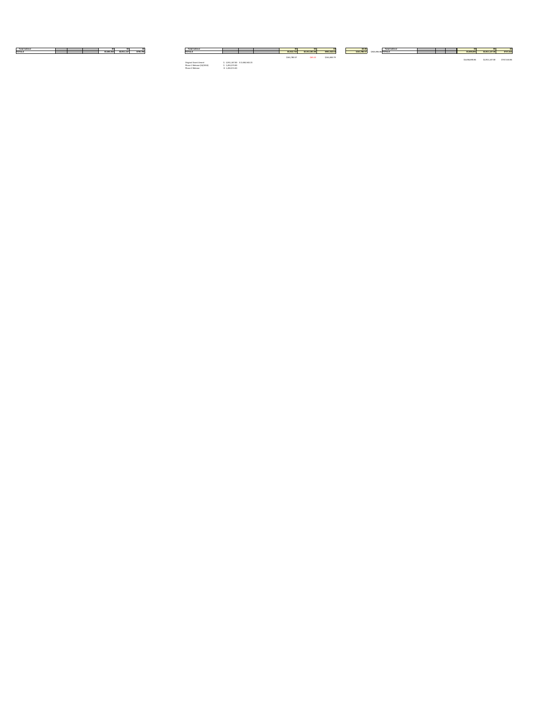| <b>Total Indirect</b> |                                                | <b>Total Indirect</b> |              |                |              |                           | <b>Total Indirect</b> |  |             |                |           |
|-----------------------|------------------------------------------------|-----------------------|--------------|----------------|--------------|---------------------------|-----------------------|--|-------------|----------------|-----------|
| <b>TOTALS</b>         | $\sim$ \$2,911,147<br>\$739,796<br>\$3,650,943 |                       | \$3,812,724  | \$2,911,081.98 | \$901,642.02 | $\frac{1}{1}$ \$161,780.5 | $$925,996.98$ TOTALS  |  | \$3,658,691 | \$2,911,147.00 | \$747,544 |
|                       |                                                |                       | \$161,780.57 |                | \$161,845.79 |                           |                       |  |             |                |           |

\$3,658,690.86 \$2,911,147.00 \$747,543.86

| Original Grant Amont      | \$2,911,147.00 \$3,650,943.23 |
|---------------------------|-------------------------------|
| Phase 1 Release (10/2013) | \$1,455,573.00                |
| Phase 2 Release           | \$1.455.574.00                |